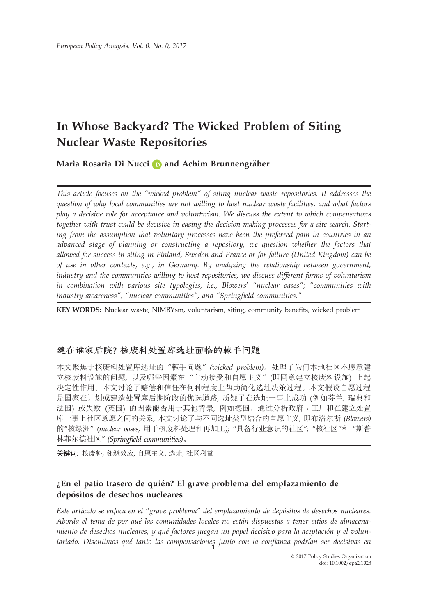# In Whose Backyard? The Wicked Problem of Siting Nuclear Waste Repositories

Maria Rosaria Di Nucci  $\Box$  and Achim Brunnengräber

This article focuses on the "wicked problem" of siting nuclear waste repositories. It addresses the question of why local communities are not willing to host nuclear waste facilities, and what factors play a decisive role for acceptance and voluntarism. We discuss the extent to which compensations together with trust could be decisive in easing the decision making processes for a site search. Starting from the assumption that voluntary processes have been the preferred path in countries in an advanced stage of planning or constructing a repository, we question whether the factors that allowed for success in siting in Finland, Sweden and France or for failure (United Kingdom) can be of use in other contexts, e.g., in Germany. By analyzing the relationship between government, industry and the communities willing to host repositories, we discuss different forms of voluntarism in combination with various site typologies, i.e., Blowers' "nuclear oases"; "communities with industry awareness"; "nuclear communities", and "Springfield communities."

KEY WORDS: Nuclear waste, NIMBYsm, voluntarism, siting, community benefits, wicked problem

## 建在谁家后院? 核废料处置库选址面临的棘手问题

本文聚焦于核废料处置库选址的 "棘手问题" (wicked problem)。处理了为何本地社区不愿意建 立核废料设施的问题, 以及哪些因素在 "主动接受和自愿主义" (即同意建立核废料设施) 上起 决定性作用。本文讨论了赔偿和信任在何种程度上帮助简化选址决策过程。本文假设自愿过程 是国家在计划或建造处置库后期阶段的优选道路, 质疑了在选址一事上成功 (例如芬兰, 瑞典和 法国) 或失败 (英国) 的因素能否用于其他背景, 例如德国。通过分析政府、工厂和在建立处置 库一事上社区意愿之间的关系, 本文讨论了与不同选址类型结合的自愿主义, 即布洛尔斯 (Blowers) 的"核绿洲" (nuclear oases, 用于核废料处理和再加工); "具备行业意识的社区"; "核社区"和 "斯普 林菲尔德社区" (Springfield communities)。

关键词: 核废料, 邻避效应, 自愿主义, 选址, 社区利益

# $k$ En el patio trasero de quién? El grave problema del emplazamiento de depósitos de desechos nucleares

Este artículo se enfoca en el "grave problema" del emplazamiento de depósitos de desechos nucleares. Aborda el tema de por qué las comunidades locales no están dispuestas a tener sitios de almacenamiento de desechos nucleares, y qué factores juegan un papel decisivo para la aceptación y el voluntariado. Discutimos qué tanto las compensaciones junto con la confianza podrían ser decisivas en<br>-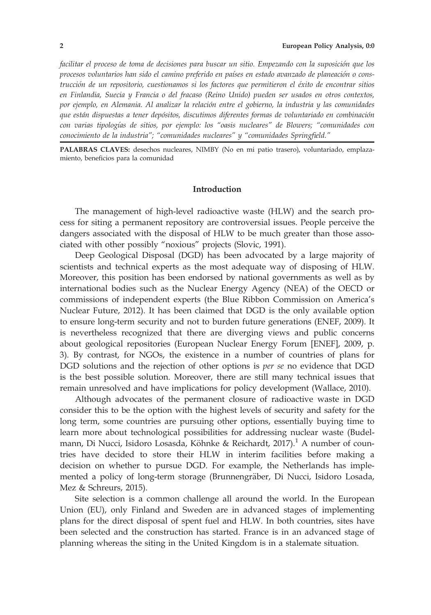facilitar el proceso de toma de decisiones para buscar un sitio. Empezando con la suposicion que los procesos voluntarios han sido el camino preferido en paıses en estado avanzado de planeacion o construccion de un repositorio, cuestionamos si los factores que permitieron el exito de encontrar sitios en Finlandia, Suecia y Francia o del fracaso (Reino Unido) pueden ser usados en otros contextos, por ejemplo, en Alemania. Al analizar la relacion entre el gobierno, la industria y las comunidades que están dispuestas a tener depósitos, discutimos diferentes formas de voluntariado en combinación con varias tipologías de sitios, por ejemplo: los "oasis nucleares" de Blowers; "comunidades con conocimiento de la industria"; "comunidades nucleares" y "comunidades Springfield."

PALABRAS CLAVES: desechos nucleares, NIMBY (No en mi patio trasero), voluntariado, emplazamiento, beneficios para la comunidad

#### Introduction

The management of high-level radioactive waste (HLW) and the search process for siting a permanent repository are controversial issues. People perceive the dangers associated with the disposal of HLW to be much greater than those associated with other possibly "noxious" projects (Slovic, 1991).

Deep Geological Disposal (DGD) has been advocated by a large majority of scientists and technical experts as the most adequate way of disposing of HLW. Moreover, this position has been endorsed by national governments as well as by international bodies such as the Nuclear Energy Agency (NEA) of the OECD or commissions of independent experts (the Blue Ribbon Commission on America's Nuclear Future, 2012). It has been claimed that DGD is the only available option to ensure long-term security and not to burden future generations (ENEF, 2009). It is nevertheless recognized that there are diverging views and public concerns about geological repositories (European Nuclear Energy Forum [ENEF], 2009, p. 3). By contrast, for NGOs, the existence in a number of countries of plans for DGD solutions and the rejection of other options is per se no evidence that DGD is the best possible solution. Moreover, there are still many technical issues that remain unresolved and have implications for policy development (Wallace, 2010).

Although advocates of the permanent closure of radioactive waste in DGD consider this to be the option with the highest levels of security and safety for the long term, some countries are pursuing other options, essentially buying time to learn more about technological possibilities for addressing nuclear waste (Budelmann, Di Nucci, Isidoro Losasda, Köhnke & Reichardt, 2017).<sup>1</sup> A number of countries have decided to store their HLW in interim facilities before making a decision on whether to pursue DGD. For example, the Netherlands has implemented a policy of long-term storage (Brunnengräber, Di Nucci, Isidoro Losada, Mez & Schreurs, 2015).

Site selection is a common challenge all around the world. In the European Union (EU), only Finland and Sweden are in advanced stages of implementing plans for the direct disposal of spent fuel and HLW. In both countries, sites have been selected and the construction has started. France is in an advanced stage of planning whereas the siting in the United Kingdom is in a stalemate situation.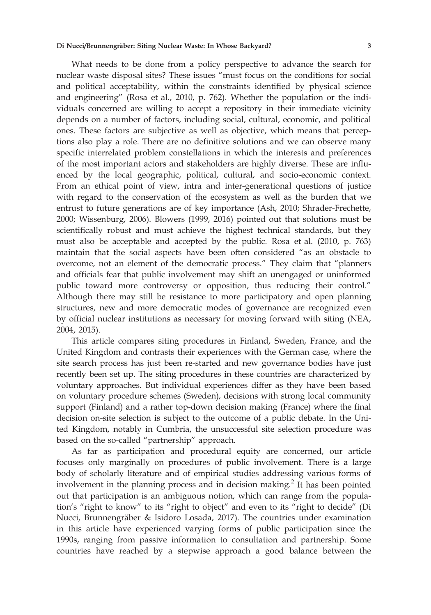What needs to be done from a policy perspective to advance the search for nuclear waste disposal sites? These issues "must focus on the conditions for social and political acceptability, within the constraints identified by physical science and engineering" (Rosa et al., 2010, p. 762). Whether the population or the individuals concerned are willing to accept a repository in their immediate vicinity depends on a number of factors, including social, cultural, economic, and political ones. These factors are subjective as well as objective, which means that perceptions also play a role. There are no definitive solutions and we can observe many specific interrelated problem constellations in which the interests and preferences of the most important actors and stakeholders are highly diverse. These are influenced by the local geographic, political, cultural, and socio-economic context. From an ethical point of view, intra and inter-generational questions of justice with regard to the conservation of the ecosystem as well as the burden that we entrust to future generations are of key importance (Ash, 2010; Shrader-Frechette, 2000; Wissenburg, 2006). Blowers (1999, 2016) pointed out that solutions must be scientifically robust and must achieve the highest technical standards, but they must also be acceptable and accepted by the public. Rosa et al. (2010, p. 763) maintain that the social aspects have been often considered "as an obstacle to overcome, not an element of the democratic process." They claim that "planners and officials fear that public involvement may shift an unengaged or uninformed public toward more controversy or opposition, thus reducing their control." Although there may still be resistance to more participatory and open planning structures, new and more democratic modes of governance are recognized even by official nuclear institutions as necessary for moving forward with siting (NEA, 2004, 2015).

This article compares siting procedures in Finland, Sweden, France, and the United Kingdom and contrasts their experiences with the German case, where the site search process has just been re-started and new governance bodies have just recently been set up. The siting procedures in these countries are characterized by voluntary approaches. But individual experiences differ as they have been based on voluntary procedure schemes (Sweden), decisions with strong local community support (Finland) and a rather top-down decision making (France) where the final decision on-site selection is subject to the outcome of a public debate. In the United Kingdom, notably in Cumbria, the unsuccessful site selection procedure was based on the so-called "partnership" approach.

As far as participation and procedural equity are concerned, our article focuses only marginally on procedures of public involvement. There is a large body of scholarly literature and of empirical studies addressing various forms of involvement in the planning process and in decision making.<sup>2</sup> It has been pointed out that participation is an ambiguous notion, which can range from the population's "right to know" to its "right to object" and even to its "right to decide" (Di Nucci, Brunnengräber & Isidoro Losada, 2017). The countries under examination in this article have experienced varying forms of public participation since the 1990s, ranging from passive information to consultation and partnership. Some countries have reached by a stepwise approach a good balance between the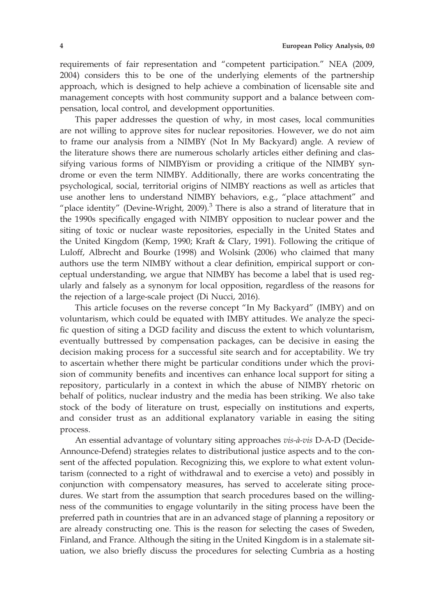requirements of fair representation and "competent participation." NEA (2009, 2004) considers this to be one of the underlying elements of the partnership approach, which is designed to help achieve a combination of licensable site and management concepts with host community support and a balance between compensation, local control, and development opportunities.

This paper addresses the question of why, in most cases, local communities are not willing to approve sites for nuclear repositories. However, we do not aim to frame our analysis from a NIMBY (Not In My Backyard) angle. A review of the literature shows there are numerous scholarly articles either defining and classifying various forms of NIMBYism or providing a critique of the NIMBY syndrome or even the term NIMBY. Additionally, there are works concentrating the psychological, social, territorial origins of NIMBY reactions as well as articles that use another lens to understand NIMBY behaviors, e.g., "place attachment" and "place identity" (Devine-Wright, 2009).<sup>3</sup> There is also a strand of literature that in the 1990s specifically engaged with NIMBY opposition to nuclear power and the siting of toxic or nuclear waste repositories, especially in the United States and the United Kingdom (Kemp, 1990; Kraft & Clary, 1991). Following the critique of Luloff, Albrecht and Bourke (1998) and Wolsink (2006) who claimed that many authors use the term NIMBY without a clear definition, empirical support or conceptual understanding, we argue that NIMBY has become a label that is used regularly and falsely as a synonym for local opposition, regardless of the reasons for the rejection of a large-scale project (Di Nucci, 2016).

This article focuses on the reverse concept "In My Backyard" (IMBY) and on voluntarism, which could be equated with IMBY attitudes. We analyze the specific question of siting a DGD facility and discuss the extent to which voluntarism, eventually buttressed by compensation packages, can be decisive in easing the decision making process for a successful site search and for acceptability. We try to ascertain whether there might be particular conditions under which the provision of community benefits and incentives can enhance local support for siting a repository, particularly in a context in which the abuse of NIMBY rhetoric on behalf of politics, nuclear industry and the media has been striking. We also take stock of the body of literature on trust, especially on institutions and experts, and consider trust as an additional explanatory variable in easing the siting process.

An essential advantage of voluntary siting approaches  $vis-\lambda-vis$  D-A-D (Decide-Announce-Defend) strategies relates to distributional justice aspects and to the consent of the affected population. Recognizing this, we explore to what extent voluntarism (connected to a right of withdrawal and to exercise a veto) and possibly in conjunction with compensatory measures, has served to accelerate siting procedures. We start from the assumption that search procedures based on the willingness of the communities to engage voluntarily in the siting process have been the preferred path in countries that are in an advanced stage of planning a repository or are already constructing one. This is the reason for selecting the cases of Sweden, Finland, and France. Although the siting in the United Kingdom is in a stalemate situation, we also briefly discuss the procedures for selecting Cumbria as a hosting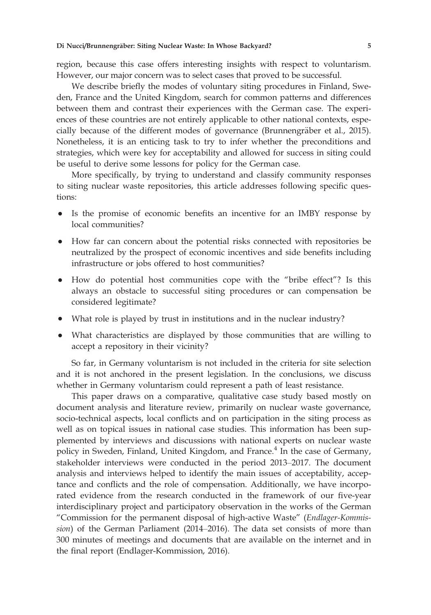region, because this case offers interesting insights with respect to voluntarism. However, our major concern was to select cases that proved to be successful.

We describe briefly the modes of voluntary siting procedures in Finland, Sweden, France and the United Kingdom, search for common patterns and differences between them and contrast their experiences with the German case. The experiences of these countries are not entirely applicable to other national contexts, especially because of the different modes of governance (Brunnengräber et al., 2015). Nonetheless, it is an enticing task to try to infer whether the preconditions and strategies, which were key for acceptability and allowed for success in siting could be useful to derive some lessons for policy for the German case.

More specifically, by trying to understand and classify community responses to siting nuclear waste repositories, this article addresses following specific questions:

- Is the promise of economic benefits an incentive for an IMBY response by local communities?
- How far can concern about the potential risks connected with repositories be neutralized by the prospect of economic incentives and side benefits including infrastructure or jobs offered to host communities?
- How do potential host communities cope with the "bribe effect"? Is this always an obstacle to successful siting procedures or can compensation be considered legitimate?
- What role is played by trust in institutions and in the nuclear industry?
- What characteristics are displayed by those communities that are willing to accept a repository in their vicinity?

So far, in Germany voluntarism is not included in the criteria for site selection and it is not anchored in the present legislation. In the conclusions, we discuss whether in Germany voluntarism could represent a path of least resistance.

This paper draws on a comparative, qualitative case study based mostly on document analysis and literature review, primarily on nuclear waste governance, socio-technical aspects, local conflicts and on participation in the siting process as well as on topical issues in national case studies. This information has been supplemented by interviews and discussions with national experts on nuclear waste policy in Sweden, Finland, United Kingdom, and France.<sup>4</sup> In the case of Germany, stakeholder interviews were conducted in the period 2013–2017. The document analysis and interviews helped to identify the main issues of acceptability, acceptance and conflicts and the role of compensation. Additionally, we have incorporated evidence from the research conducted in the framework of our five-year interdisciplinary project and participatory observation in the works of the German "Commission for the permanent disposal of high-active Waste" (Endlager-Kommission) of the German Parliament (2014–2016). The data set consists of more than 300 minutes of meetings and documents that are available on the internet and in the final report (Endlager-Kommission, 2016).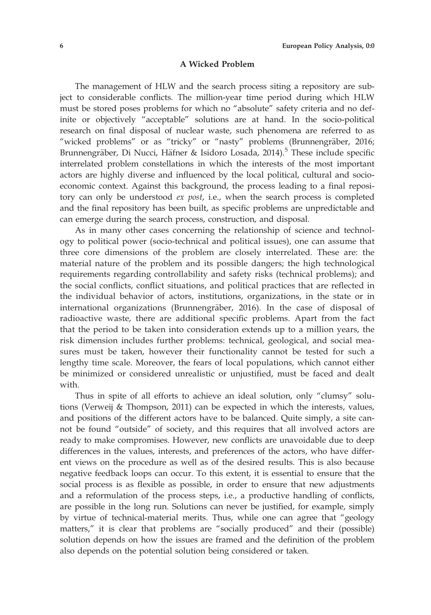#### A Wicked Problem

The management of HLW and the search process siting a repository are subject to considerable conflicts. The million-year time period during which HLW must be stored poses problems for which no "absolute" safety criteria and no definite or objectively "acceptable" solutions are at hand. In the socio-political research on final disposal of nuclear waste, such phenomena are referred to as "wicked problems" or as "tricky" or "nasty" problems (Brunnengräber, 2016; Brunnengräber, Di Nucci, Häfner & Isidoro Losada, 2014).<sup>5</sup> These include specific interrelated problem constellations in which the interests of the most important actors are highly diverse and influenced by the local political, cultural and socioeconomic context. Against this background, the process leading to a final repository can only be understood ex post, i.e., when the search process is completed and the final repository has been built, as specific problems are unpredictable and can emerge during the search process, construction, and disposal.

As in many other cases concerning the relationship of science and technology to political power (socio-technical and political issues), one can assume that three core dimensions of the problem are closely interrelated. These are: the material nature of the problem and its possible dangers; the high technological requirements regarding controllability and safety risks (technical problems); and the social conflicts, conflict situations, and political practices that are reflected in the individual behavior of actors, institutions, organizations, in the state or in international organizations (Brunnengräber, 2016). In the case of disposal of radioactive waste, there are additional specific problems. Apart from the fact that the period to be taken into consideration extends up to a million years, the risk dimension includes further problems: technical, geological, and social measures must be taken, however their functionality cannot be tested for such a lengthy time scale. Moreover, the fears of local populations, which cannot either be minimized or considered unrealistic or unjustified, must be faced and dealt with.

Thus in spite of all efforts to achieve an ideal solution, only "clumsy" solutions (Verweij & Thompson, 2011) can be expected in which the interests, values, and positions of the different actors have to be balanced. Quite simply, a site cannot be found "outside" of society, and this requires that all involved actors are ready to make compromises. However, new conflicts are unavoidable due to deep differences in the values, interests, and preferences of the actors, who have different views on the procedure as well as of the desired results. This is also because negative feedback loops can occur. To this extent, it is essential to ensure that the social process is as flexible as possible, in order to ensure that new adjustments and a reformulation of the process steps, i.e., a productive handling of conflicts, are possible in the long run. Solutions can never be justified, for example, simply by virtue of technical-material merits. Thus, while one can agree that "geology matters," it is clear that problems are "socially produced" and their (possible) solution depends on how the issues are framed and the definition of the problem also depends on the potential solution being considered or taken.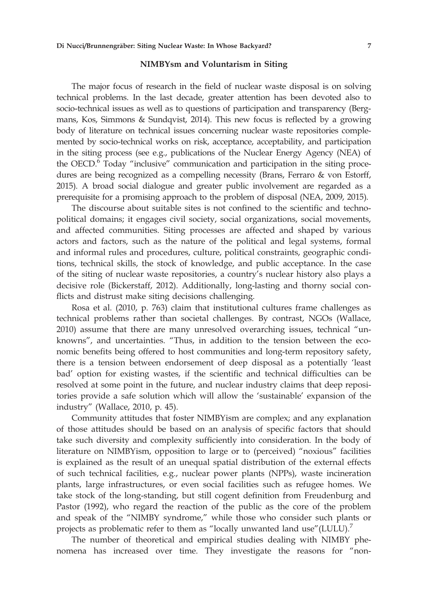### NIMBYsm and Voluntarism in Siting

The major focus of research in the field of nuclear waste disposal is on solving technical problems. In the last decade, greater attention has been devoted also to socio-technical issues as well as to questions of participation and transparency (Bergmans, Kos, Simmons & Sundqvist, 2014). This new focus is reflected by a growing body of literature on technical issues concerning nuclear waste repositories complemented by socio-technical works on risk, acceptance, acceptability, and participation in the siting process (see e.g., publications of the Nuclear Energy Agency (NEA) of the OECD.<sup>6</sup> Today "inclusive" communication and participation in the siting procedures are being recognized as a compelling necessity (Brans, Ferraro & von Estorff, 2015). A broad social dialogue and greater public involvement are regarded as a prerequisite for a promising approach to the problem of disposal (NEA, 2009, 2015).

The discourse about suitable sites is not confined to the scientific and technopolitical domains; it engages civil society, social organizations, social movements, and affected communities. Siting processes are affected and shaped by various actors and factors, such as the nature of the political and legal systems, formal and informal rules and procedures, culture, political constraints, geographic conditions, technical skills, the stock of knowledge, and public acceptance. In the case of the siting of nuclear waste repositories, a country's nuclear history also plays a decisive role (Bickerstaff, 2012). Additionally, long-lasting and thorny social conflicts and distrust make siting decisions challenging.

Rosa et al. (2010, p. 763) claim that institutional cultures frame challenges as technical problems rather than societal challenges. By contrast, NGOs (Wallace, 2010) assume that there are many unresolved overarching issues, technical "unknowns", and uncertainties. "Thus, in addition to the tension between the economic benefits being offered to host communities and long-term repository safety, there is a tension between endorsement of deep disposal as a potentially 'least bad' option for existing wastes, if the scientific and technical difficulties can be resolved at some point in the future, and nuclear industry claims that deep repositories provide a safe solution which will allow the 'sustainable' expansion of the industry" (Wallace, 2010, p. 45).

Community attitudes that foster NIMBYism are complex; and any explanation of those attitudes should be based on an analysis of specific factors that should take such diversity and complexity sufficiently into consideration. In the body of literature on NIMBYism, opposition to large or to (perceived) "noxious" facilities is explained as the result of an unequal spatial distribution of the external effects of such technical facilities, e.g., nuclear power plants (NPPs), waste incineration plants, large infrastructures, or even social facilities such as refugee homes. We take stock of the long-standing, but still cogent definition from Freudenburg and Pastor (1992), who regard the reaction of the public as the core of the problem and speak of the "NIMBY syndrome," while those who consider such plants or projects as problematic refer to them as "locally unwanted land use"(LULU).<sup>7</sup>

The number of theoretical and empirical studies dealing with NIMBY phenomena has increased over time. They investigate the reasons for "non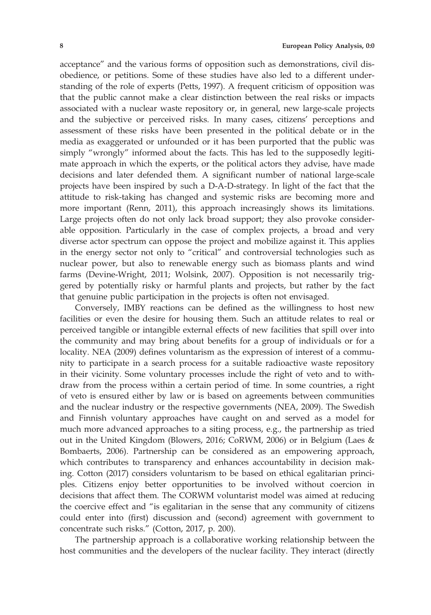acceptance" and the various forms of opposition such as demonstrations, civil disobedience, or petitions. Some of these studies have also led to a different understanding of the role of experts (Petts, 1997). A frequent criticism of opposition was that the public cannot make a clear distinction between the real risks or impacts associated with a nuclear waste repository or, in general, new large-scale projects and the subjective or perceived risks. In many cases, citizens' perceptions and assessment of these risks have been presented in the political debate or in the media as exaggerated or unfounded or it has been purported that the public was simply "wrongly" informed about the facts. This has led to the supposedly legitimate approach in which the experts, or the political actors they advise, have made decisions and later defended them. A significant number of national large-scale projects have been inspired by such a D-A-D-strategy. In light of the fact that the attitude to risk-taking has changed and systemic risks are becoming more and more important (Renn, 2011), this approach increasingly shows its limitations. Large projects often do not only lack broad support; they also provoke considerable opposition. Particularly in the case of complex projects, a broad and very diverse actor spectrum can oppose the project and mobilize against it. This applies in the energy sector not only to "critical" and controversial technologies such as nuclear power, but also to renewable energy such as biomass plants and wind farms (Devine-Wright, 2011; Wolsink, 2007). Opposition is not necessarily triggered by potentially risky or harmful plants and projects, but rather by the fact that genuine public participation in the projects is often not envisaged.

Conversely, IMBY reactions can be defined as the willingness to host new facilities or even the desire for housing them. Such an attitude relates to real or perceived tangible or intangible external effects of new facilities that spill over into the community and may bring about benefits for a group of individuals or for a locality. NEA (2009) defines voluntarism as the expression of interest of a community to participate in a search process for a suitable radioactive waste repository in their vicinity. Some voluntary processes include the right of veto and to withdraw from the process within a certain period of time. In some countries, a right of veto is ensured either by law or is based on agreements between communities and the nuclear industry or the respective governments (NEA, 2009). The Swedish and Finnish voluntary approaches have caught on and served as a model for much more advanced approaches to a siting process, e.g., the partnership as tried out in the United Kingdom (Blowers, 2016; CoRWM, 2006) or in Belgium (Laes & Bombaerts, 2006). Partnership can be considered as an empowering approach, which contributes to transparency and enhances accountability in decision making. Cotton (2017) considers voluntarism to be based on ethical egalitarian principles. Citizens enjoy better opportunities to be involved without coercion in decisions that affect them. The CORWM voluntarist model was aimed at reducing the coercive effect and "is egalitarian in the sense that any community of citizens could enter into (first) discussion and (second) agreement with government to concentrate such risks." (Cotton, 2017, p. 200).

The partnership approach is a collaborative working relationship between the host communities and the developers of the nuclear facility. They interact (directly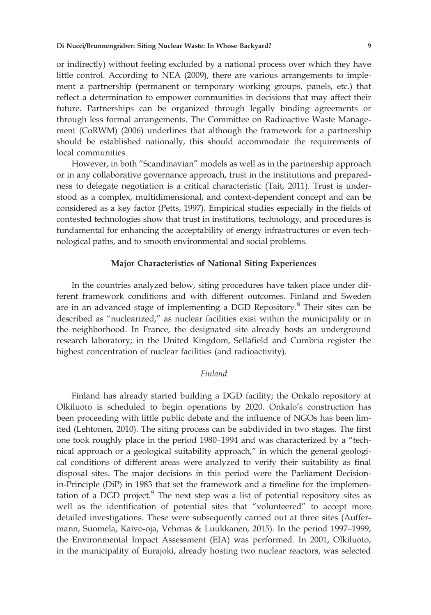or indirectly) without feeling excluded by a national process over which they have little control. According to NEA (2009), there are various arrangements to implement a partnership (permanent or temporary working groups, panels, etc.) that reflect a determination to empower communities in decisions that may affect their future. Partnerships can be organized through legally binding agreements or through less formal arrangements. The Committee on Radioactive Waste Management (CoRWM) (2006) underlines that although the framework for a partnership should be established nationally, this should accommodate the requirements of local communities.

However, in both "Scandinavian" models as well as in the partnership approach or in any collaborative governance approach, trust in the institutions and preparedness to delegate negotiation is a critical characteristic (Tait, 2011). Trust is understood as a complex, multidimensional, and context-dependent concept and can be considered as a key factor (Petts, 1997). Empirical studies especially in the fields of contested technologies show that trust in institutions, technology, and procedures is fundamental for enhancing the acceptability of energy infrastructures or even technological paths, and to smooth environmental and social problems.

#### Major Characteristics of National Siting Experiences

In the countries analyzed below, siting procedures have taken place under different framework conditions and with different outcomes. Finland and Sweden are in an advanced stage of implementing a DGD Repository.<sup>8</sup> Their sites can be described as "nuclearized," as nuclear facilities exist within the municipality or in the neighborhood. In France, the designated site already hosts an underground research laboratory; in the United Kingdom, Sellafield and Cumbria register the highest concentration of nuclear facilities (and radioactivity).

### Finland

Finland has already started building a DGD facility; the Onkalo repository at Olkiluoto is scheduled to begin operations by 2020. Onkalo's construction has been proceeding with little public debate and the influence of NGOs has been limited (Lehtonen, 2010). The siting process can be subdivided in two stages. The first one took roughly place in the period 1980–1994 and was characterized by a "technical approach or a geological suitability approach," in which the general geological conditions of different areas were analyzed to verify their suitability as final disposal sites. The major decisions in this period were the Parliament Decisionin-Principle (DiP) in 1983 that set the framework and a timeline for the implementation of a DGD project. $9$  The next step was a list of potential repository sites as well as the identification of potential sites that "volunteered" to accept more detailed investigations. These were subsequently carried out at three sites (Auffermann, Suomela, Kaivo-oja, Vehmas & Luukkanen, 2015). In the period 1997–1999, the Environmental Impact Assessment (EIA) was performed. In 2001, Olkiluoto, in the municipality of Eurajoki, already hosting two nuclear reactors, was selected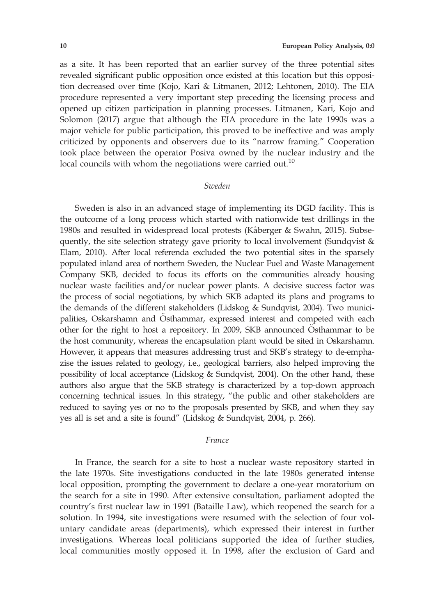as a site. It has been reported that an earlier survey of the three potential sites revealed significant public opposition once existed at this location but this opposition decreased over time (Kojo, Kari & Litmanen, 2012; Lehtonen, 2010). The EIA procedure represented a very important step preceding the licensing process and opened up citizen participation in planning processes. Litmanen, Kari, Kojo and Solomon (2017) argue that although the EIA procedure in the late 1990s was a major vehicle for public participation, this proved to be ineffective and was amply criticized by opponents and observers due to its "narrow framing." Cooperation took place between the operator Posiva owned by the nuclear industry and the local councils with whom the negotiations were carried out.<sup>10</sup>

#### Sweden

Sweden is also in an advanced stage of implementing its DGD facility. This is the outcome of a long process which started with nationwide test drillings in the 1980s and resulted in widespread local protests (Kaberger & Swahn, 2015). Subsequently, the site selection strategy gave priority to local involvement (Sundqvist & Elam, 2010). After local referenda excluded the two potential sites in the sparsely populated inland area of northern Sweden, the Nuclear Fuel and Waste Management Company SKB, decided to focus its efforts on the communities already housing nuclear waste facilities and/or nuclear power plants. A decisive success factor was the process of social negotiations, by which SKB adapted its plans and programs to the demands of the different stakeholders (Lidskog & Sundqvist, 2004). Two municipalities, Oskarshamn and Osthammar, expressed interest and competed with each other for the right to host a repository. In 2009, SKB announced Osthammar to be the host community, whereas the encapsulation plant would be sited in Oskarshamn. However, it appears that measures addressing trust and SKB's strategy to de-emphazise the issues related to geology, i.e., geological barriers, also helped improving the possibility of local acceptance (Lidskog & Sundqvist, 2004). On the other hand, these authors also argue that the SKB strategy is characterized by a top-down approach concerning technical issues. In this strategy, "the public and other stakeholders are reduced to saying yes or no to the proposals presented by SKB, and when they say yes all is set and a site is found" (Lidskog & Sundqvist, 2004, p. 266).

### France

In France, the search for a site to host a nuclear waste repository started in the late 1970s. Site investigations conducted in the late 1980s generated intense local opposition, prompting the government to declare a one-year moratorium on the search for a site in 1990. After extensive consultation, parliament adopted the country's first nuclear law in 1991 (Bataille Law), which reopened the search for a solution. In 1994, site investigations were resumed with the selection of four voluntary candidate areas (departments), which expressed their interest in further investigations. Whereas local politicians supported the idea of further studies, local communities mostly opposed it. In 1998, after the exclusion of Gard and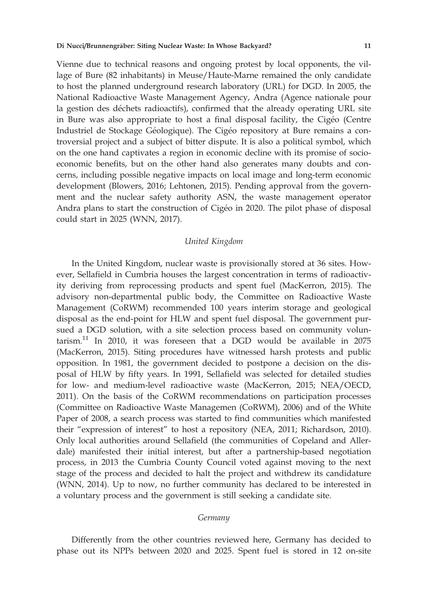Vienne due to technical reasons and ongoing protest by local opponents, the village of Bure (82 inhabitants) in Meuse/Haute-Marne remained the only candidate to host the planned underground research laboratory (URL) for DGD. In 2005, the National Radioactive Waste Management Agency, Andra (Agence nationale pour la gestion des déchets radioactifs), confirmed that the already operating URL site in Bure was also appropriate to host a final disposal facility, the Cigéo (Centre Industriel de Stockage Géologique). The Cigéo repository at Bure remains a controversial project and a subject of bitter dispute. It is also a political symbol, which on the one hand captivates a region in economic decline with its promise of socioeconomic benefits, but on the other hand also generates many doubts and concerns, including possible negative impacts on local image and long-term economic development (Blowers, 2016; Lehtonen, 2015). Pending approval from the government and the nuclear safety authority ASN, the waste management operator Andra plans to start the construction of Cigéo in 2020. The pilot phase of disposal could start in 2025 (WNN, 2017).

### United Kingdom

In the United Kingdom, nuclear waste is provisionally stored at 36 sites. However, Sellafield in Cumbria houses the largest concentration in terms of radioactivity deriving from reprocessing products and spent fuel (MacKerron, 2015). The advisory non-departmental public body, the Committee on Radioactive Waste Management (CoRWM) recommended 100 years interim storage and geological disposal as the end-point for HLW and spent fuel disposal. The government pursued a DGD solution, with a site selection process based on community voluntarism.<sup>11</sup> In 2010, it was foreseen that a DGD would be available in 2075 (MacKerron, 2015). Siting procedures have witnessed harsh protests and public opposition. In 1981, the government decided to postpone a decision on the disposal of HLW by fifty years. In 1991, Sellafield was selected for detailed studies for low- and medium-level radioactive waste (MacKerron, 2015; NEA/OECD, 2011). On the basis of the CoRWM recommendations on participation processes (Committee on Radioactive Waste Managemen (CoRWM), 2006) and of the White Paper of 2008, a search process was started to find communities which manifested their "expression of interest" to host a repository (NEA, 2011; Richardson, 2010). Only local authorities around Sellafield (the communities of Copeland and Allerdale) manifested their initial interest, but after a partnership-based negotiation process, in 2013 the Cumbria County Council voted against moving to the next stage of the process and decided to halt the project and withdrew its candidature (WNN, 2014). Up to now, no further community has declared to be interested in a voluntary process and the government is still seeking a candidate site.

#### Germany

Differently from the other countries reviewed here, Germany has decided to phase out its NPPs between 2020 and 2025. Spent fuel is stored in 12 on-site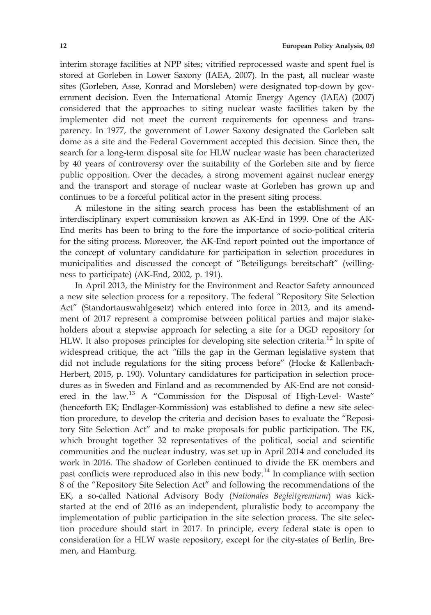interim storage facilities at NPP sites; vitrified reprocessed waste and spent fuel is stored at Gorleben in Lower Saxony (IAEA, 2007). In the past, all nuclear waste sites (Gorleben, Asse, Konrad and Morsleben) were designated top-down by government decision. Even the International Atomic Energy Agency (IAEA) (2007) considered that the approaches to siting nuclear waste facilities taken by the implementer did not meet the current requirements for openness and transparency. In 1977, the government of Lower Saxony designated the Gorleben salt dome as a site and the Federal Government accepted this decision. Since then, the search for a long-term disposal site for HLW nuclear waste has been characterized by 40 years of controversy over the suitability of the Gorleben site and by fierce public opposition. Over the decades, a strong movement against nuclear energy and the transport and storage of nuclear waste at Gorleben has grown up and continues to be a forceful political actor in the present siting process.

A milestone in the siting search process has been the establishment of an interdisciplinary expert commission known as AK-End in 1999. One of the AK-End merits has been to bring to the fore the importance of socio-political criteria for the siting process. Moreover, the AK-End report pointed out the importance of the concept of voluntary candidature for participation in selection procedures in municipalities and discussed the concept of "Beteiligungs bereitschaft" (willingness to participate) (AK-End, 2002, p. 191).

In April 2013, the Ministry for the Environment and Reactor Safety announced a new site selection process for a repository. The federal "Repository Site Selection Act" (Standortauswahlgesetz) which entered into force in 2013, and its amendment of 2017 represent a compromise between political parties and major stakeholders about a stepwise approach for selecting a site for a DGD repository for HLW. It also proposes principles for developing site selection criteria.<sup>12</sup> In spite of widespread critique, the act "fills the gap in the German legislative system that did not include regulations for the siting process before" (Hocke & Kallenbach-Herbert, 2015, p. 190). Voluntary candidatures for participation in selection procedures as in Sweden and Finland and as recommended by AK-End are not considered in the law.<sup>13</sup> A "Commission for the Disposal of High-Level- Waste" (henceforth EK; Endlager-Kommission) was established to define a new site selection procedure, to develop the criteria and decision bases to evaluate the "Repository Site Selection Act" and to make proposals for public participation. The EK, which brought together 32 representatives of the political, social and scientific communities and the nuclear industry, was set up in April 2014 and concluded its work in 2016. The shadow of Gorleben continued to divide the EK members and past conflicts were reproduced also in this new body.<sup>14</sup> In compliance with section 8 of the "Repository Site Selection Act" and following the recommendations of the EK, a so-called National Advisory Body (Nationales Begleitgremium) was kickstarted at the end of 2016 as an independent, pluralistic body to accompany the implementation of public participation in the site selection process. The site selection procedure should start in 2017. In principle, every federal state is open to consideration for a HLW waste repository, except for the city-states of Berlin, Bremen, and Hamburg.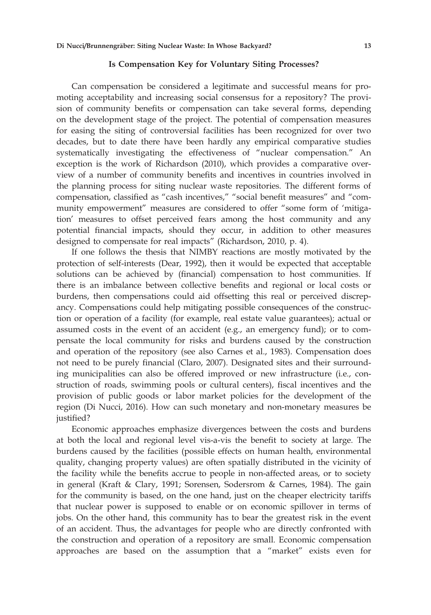### Is Compensation Key for Voluntary Siting Processes?

Can compensation be considered a legitimate and successful means for promoting acceptability and increasing social consensus for a repository? The provision of community benefits or compensation can take several forms, depending on the development stage of the project. The potential of compensation measures for easing the siting of controversial facilities has been recognized for over two decades, but to date there have been hardly any empirical comparative studies systematically investigating the effectiveness of "nuclear compensation." An exception is the work of Richardson (2010), which provides a comparative overview of a number of community benefits and incentives in countries involved in the planning process for siting nuclear waste repositories. The different forms of compensation, classified as "cash incentives," "social benefit measures" and "community empowerment" measures are considered to offer "some form of 'mitigation' measures to offset perceived fears among the host community and any potential financial impacts, should they occur, in addition to other measures designed to compensate for real impacts" (Richardson, 2010, p. 4).

If one follows the thesis that NIMBY reactions are mostly motivated by the protection of self-interests (Dear, 1992), then it would be expected that acceptable solutions can be achieved by (financial) compensation to host communities. If there is an imbalance between collective benefits and regional or local costs or burdens, then compensations could aid offsetting this real or perceived discrepancy. Compensations could help mitigating possible consequences of the construction or operation of a facility (for example, real estate value guarantees); actual or assumed costs in the event of an accident (e.g., an emergency fund); or to compensate the local community for risks and burdens caused by the construction and operation of the repository (see also Carnes et al., 1983). Compensation does not need to be purely financial (Claro, 2007). Designated sites and their surrounding municipalities can also be offered improved or new infrastructure (i.e., construction of roads, swimming pools or cultural centers), fiscal incentives and the provision of public goods or labor market policies for the development of the region (Di Nucci, 2016). How can such monetary and non-monetary measures be justified?

Economic approaches emphasize divergences between the costs and burdens at both the local and regional level vis-a-vis the benefit to society at large. The burdens caused by the facilities (possible effects on human health, environmental quality, changing property values) are often spatially distributed in the vicinity of the facility while the benefits accrue to people in non-affected areas, or to society in general (Kraft & Clary, 1991; Sorensen, Sodersrom & Carnes, 1984). The gain for the community is based, on the one hand, just on the cheaper electricity tariffs that nuclear power is supposed to enable or on economic spillover in terms of jobs. On the other hand, this community has to bear the greatest risk in the event of an accident. Thus, the advantages for people who are directly confronted with the construction and operation of a repository are small. Economic compensation approaches are based on the assumption that a "market" exists even for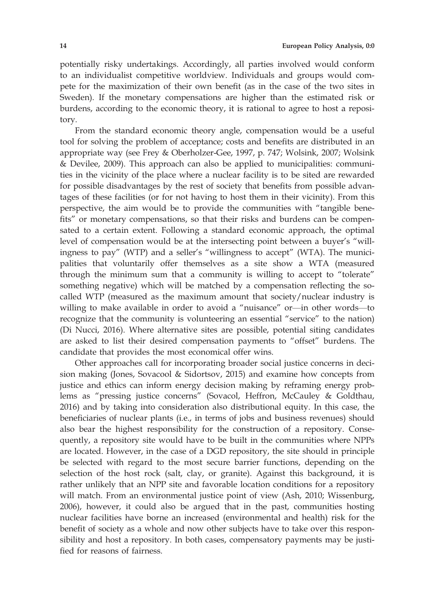potentially risky undertakings. Accordingly, all parties involved would conform to an individualist competitive worldview. Individuals and groups would compete for the maximization of their own benefit (as in the case of the two sites in Sweden). If the monetary compensations are higher than the estimated risk or burdens, according to the economic theory, it is rational to agree to host a repository.

From the standard economic theory angle, compensation would be a useful tool for solving the problem of acceptance; costs and benefits are distributed in an appropriate way (see Frey & Oberholzer-Gee, 1997, p. 747; Wolsink, 2007; Wolsink & Devilee, 2009). This approach can also be applied to municipalities: communities in the vicinity of the place where a nuclear facility is to be sited are rewarded for possible disadvantages by the rest of society that benefits from possible advantages of these facilities (or for not having to host them in their vicinity). From this perspective, the aim would be to provide the communities with "tangible benefits" or monetary compensations, so that their risks and burdens can be compensated to a certain extent. Following a standard economic approach, the optimal level of compensation would be at the intersecting point between a buyer's "willingness to pay" (WTP) and a seller's "willingness to accept" (WTA). The municipalities that voluntarily offer themselves as a site show a WTA (measured through the minimum sum that a community is willing to accept to "tolerate" something negative) which will be matched by a compensation reflecting the socalled WTP (measured as the maximum amount that society/nuclear industry is willing to make available in order to avoid a "nuisance" or—in other words—to recognize that the community is volunteering an essential "service" to the nation) (Di Nucci, 2016). Where alternative sites are possible, potential siting candidates are asked to list their desired compensation payments to "offset" burdens. The candidate that provides the most economical offer wins.

Other approaches call for incorporating broader social justice concerns in decision making (Jones, Sovacool & Sidortsov, 2015) and examine how concepts from justice and ethics can inform energy decision making by reframing energy problems as "pressing justice concerns" (Sovacol, Heffron, McCauley & Goldthau, 2016) and by taking into consideration also distributional equity. In this case, the beneficiaries of nuclear plants (i.e., in terms of jobs and business revenues) should also bear the highest responsibility for the construction of a repository. Consequently, a repository site would have to be built in the communities where NPPs are located. However, in the case of a DGD repository, the site should in principle be selected with regard to the most secure barrier functions, depending on the selection of the host rock (salt, clay, or granite). Against this background, it is rather unlikely that an NPP site and favorable location conditions for a repository will match. From an environmental justice point of view (Ash, 2010; Wissenburg, 2006), however, it could also be argued that in the past, communities hosting nuclear facilities have borne an increased (environmental and health) risk for the benefit of society as a whole and now other subjects have to take over this responsibility and host a repository. In both cases, compensatory payments may be justified for reasons of fairness.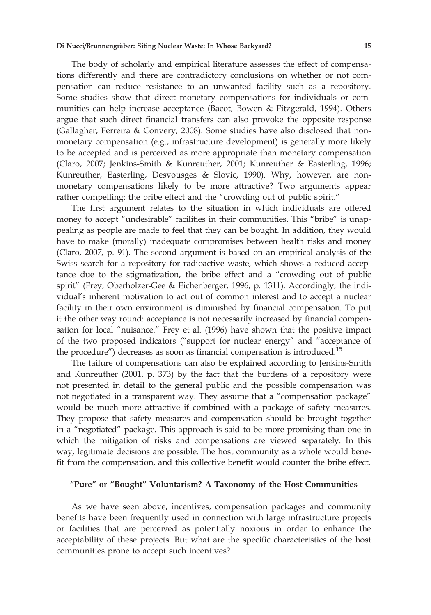The body of scholarly and empirical literature assesses the effect of compensations differently and there are contradictory conclusions on whether or not compensation can reduce resistance to an unwanted facility such as a repository. Some studies show that direct monetary compensations for individuals or communities can help increase acceptance (Bacot, Bowen & Fitzgerald, 1994). Others argue that such direct financial transfers can also provoke the opposite response (Gallagher, Ferreira & Convery, 2008). Some studies have also disclosed that nonmonetary compensation (e.g., infrastructure development) is generally more likely to be accepted and is perceived as more appropriate than monetary compensation (Claro, 2007; Jenkins-Smith & Kunreuther, 2001; Kunreuther & Easterling, 1996; Kunreuther, Easterling, Desvousges & Slovic, 1990). Why, however, are nonmonetary compensations likely to be more attractive? Two arguments appear rather compelling: the bribe effect and the "crowding out of public spirit."

The first argument relates to the situation in which individuals are offered money to accept "undesirable" facilities in their communities. This "bribe" is unappealing as people are made to feel that they can be bought. In addition, they would have to make (morally) inadequate compromises between health risks and money (Claro, 2007, p. 91). The second argument is based on an empirical analysis of the Swiss search for a repository for radioactive waste, which shows a reduced acceptance due to the stigmatization, the bribe effect and a "crowding out of public spirit" (Frey, Oberholzer-Gee & Eichenberger, 1996, p. 1311). Accordingly, the individual's inherent motivation to act out of common interest and to accept a nuclear facility in their own environment is diminished by financial compensation. To put it the other way round: acceptance is not necessarily increased by financial compensation for local "nuisance." Frey et al. (1996) have shown that the positive impact of the two proposed indicators ("support for nuclear energy" and "acceptance of the procedure") decreases as soon as financial compensation is introduced.<sup>15</sup>

The failure of compensations can also be explained according to Jenkins-Smith and Kunreuther (2001, p. 373) by the fact that the burdens of a repository were not presented in detail to the general public and the possible compensation was not negotiated in a transparent way. They assume that a "compensation package" would be much more attractive if combined with a package of safety measures. They propose that safety measures and compensation should be brought together in a "negotiated" package. This approach is said to be more promising than one in which the mitigation of risks and compensations are viewed separately. In this way, legitimate decisions are possible. The host community as a whole would benefit from the compensation, and this collective benefit would counter the bribe effect.

## "Pure" or "Bought" Voluntarism? A Taxonomy of the Host Communities

As we have seen above, incentives, compensation packages and community benefits have been frequently used in connection with large infrastructure projects or facilities that are perceived as potentially noxious in order to enhance the acceptability of these projects. But what are the specific characteristics of the host communities prone to accept such incentives?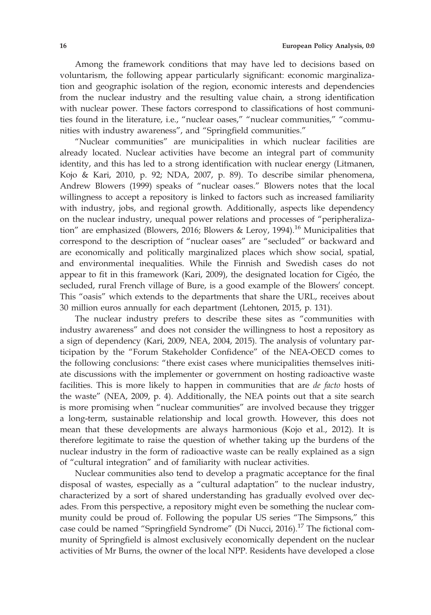Among the framework conditions that may have led to decisions based on voluntarism, the following appear particularly significant: economic marginalization and geographic isolation of the region, economic interests and dependencies from the nuclear industry and the resulting value chain, a strong identification with nuclear power. These factors correspond to classifications of host communities found in the literature, i.e., "nuclear oases," "nuclear communities," "communities with industry awareness", and "Springfield communities."

"Nuclear communities" are municipalities in which nuclear facilities are already located. Nuclear activities have become an integral part of community identity, and this has led to a strong identification with nuclear energy (Litmanen, Kojo & Kari, 2010, p. 92; NDA, 2007, p. 89). To describe similar phenomena, Andrew Blowers (1999) speaks of "nuclear oases." Blowers notes that the local willingness to accept a repository is linked to factors such as increased familiarity with industry, jobs, and regional growth. Additionally, aspects like dependency on the nuclear industry, unequal power relations and processes of "peripheralization" are emphasized (Blowers, 2016; Blowers & Leroy, 1994).<sup>16</sup> Municipalities that correspond to the description of "nuclear oases" are "secluded" or backward and are economically and politically marginalized places which show social, spatial, and environmental inequalities. While the Finnish and Swedish cases do not appear to fit in this framework (Kari, 2009), the designated location for Cigéo, the secluded, rural French village of Bure, is a good example of the Blowers' concept. This "oasis" which extends to the departments that share the URL, receives about 30 million euros annually for each department (Lehtonen, 2015, p. 131).

The nuclear industry prefers to describe these sites as "communities with industry awareness" and does not consider the willingness to host a repository as a sign of dependency (Kari, 2009, NEA, 2004, 2015). The analysis of voluntary participation by the "Forum Stakeholder Confidence" of the NEA-OECD comes to the following conclusions: "there exist cases where municipalities themselves initiate discussions with the implementer or government on hosting radioactive waste facilities. This is more likely to happen in communities that are de facto hosts of the waste" (NEA, 2009, p. 4). Additionally, the NEA points out that a site search is more promising when "nuclear communities" are involved because they trigger a long-term, sustainable relationship and local growth. However, this does not mean that these developments are always harmonious (Kojo et al., 2012). It is therefore legitimate to raise the question of whether taking up the burdens of the nuclear industry in the form of radioactive waste can be really explained as a sign of "cultural integration" and of familiarity with nuclear activities.

Nuclear communities also tend to develop a pragmatic acceptance for the final disposal of wastes, especially as a "cultural adaptation" to the nuclear industry, characterized by a sort of shared understanding has gradually evolved over decades. From this perspective, a repository might even be something the nuclear community could be proud of. Following the popular US series "The Simpsons," this case could be named "Springfield Syndrome" (Di Nucci, 2016).<sup>17</sup> The fictional community of Springfield is almost exclusively economically dependent on the nuclear activities of Mr Burns, the owner of the local NPP. Residents have developed a close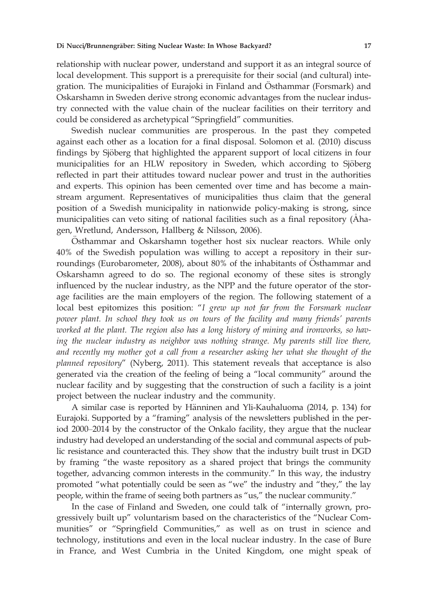relationship with nuclear power, understand and support it as an integral source of local development. This support is a prerequisite for their social (and cultural) integration. The municipalities of Eurajoki in Finland and Östhammar (Forsmark) and Oskarshamn in Sweden derive strong economic advantages from the nuclear industry connected with the value chain of the nuclear facilities on their territory and could be considered as archetypical "Springfield" communities.

Swedish nuclear communities are prosperous. In the past they competed against each other as a location for a final disposal. Solomon et al. (2010) discuss findings by Sjöberg that highlighted the apparent support of local citizens in four municipalities for an HLW repository in Sweden, which according to Sjöberg reflected in part their attitudes toward nuclear power and trust in the authorities and experts. This opinion has been cemented over time and has become a mainstream argument. Representatives of municipalities thus claim that the general position of a Swedish municipality in nationwide policy-making is strong, since municipalities can veto siting of national facilities such as a final repository (Aha gen, Wretlund, Andersson, Hallberg & Nilsson, 2006).

Osthammar and Oskarshamn together host six nuclear reactors. While only 40% of the Swedish population was willing to accept a repository in their surroundings (Eurobarometer, 2008), about  $80\%$  of the inhabitants of Osthammar and Oskarshamn agreed to do so. The regional economy of these sites is strongly influenced by the nuclear industry, as the NPP and the future operator of the storage facilities are the main employers of the region. The following statement of a local best epitomizes this position: "I grew up not far from the Forsmark nuclear power plant. In school they took us on tours of the facility and many friends' parents worked at the plant. The region also has a long history of mining and ironworks, so having the nuclear industry as neighbor was nothing strange. My parents still live there, and recently my mother got a call from a researcher asking her what she thought of the planned repository" (Nyberg, 2011). This statement reveals that acceptance is also generated via the creation of the feeling of being a "local community" around the nuclear facility and by suggesting that the construction of such a facility is a joint project between the nuclear industry and the community.

A similar case is reported by Hänninen and Yli-Kauhaluoma (2014, p. 134) for Eurajoki. Supported by a "framing" analysis of the newsletters published in the period 2000–2014 by the constructor of the Onkalo facility, they argue that the nuclear industry had developed an understanding of the social and communal aspects of public resistance and counteracted this. They show that the industry built trust in DGD by framing "the waste repository as a shared project that brings the community together, advancing common interests in the community." In this way, the industry promoted "what potentially could be seen as "we" the industry and "they," the lay people, within the frame of seeing both partners as "us," the nuclear community."

In the case of Finland and Sweden, one could talk of "internally grown, progressively built up" voluntarism based on the characteristics of the "Nuclear Communities" or "Springfield Communities," as well as on trust in science and technology, institutions and even in the local nuclear industry. In the case of Bure in France, and West Cumbria in the United Kingdom, one might speak of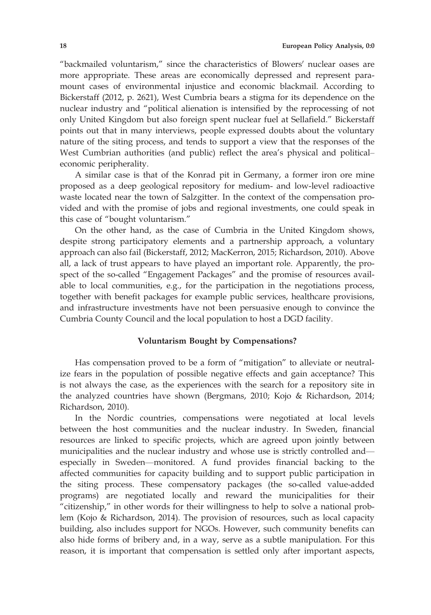"backmailed voluntarism," since the characteristics of Blowers' nuclear oases are more appropriate. These areas are economically depressed and represent paramount cases of environmental injustice and economic blackmail. According to Bickerstaff (2012, p. 2621), West Cumbria bears a stigma for its dependence on the nuclear industry and "political alienation is intensified by the reprocessing of not only United Kingdom but also foreign spent nuclear fuel at Sellafield." Bickerstaff points out that in many interviews, people expressed doubts about the voluntary nature of the siting process, and tends to support a view that the responses of the West Cumbrian authorities (and public) reflect the area's physical and political– economic peripherality.

A similar case is that of the Konrad pit in Germany, a former iron ore mine proposed as a deep geological repository for medium- and low-level radioactive waste located near the town of Salzgitter. In the context of the compensation provided and with the promise of jobs and regional investments, one could speak in this case of "bought voluntarism."

On the other hand, as the case of Cumbria in the United Kingdom shows, despite strong participatory elements and a partnership approach, a voluntary approach can also fail (Bickerstaff, 2012; MacKerron, 2015; Richardson, 2010). Above all, a lack of trust appears to have played an important role. Apparently, the prospect of the so-called "Engagement Packages" and the promise of resources available to local communities, e.g., for the participation in the negotiations process, together with benefit packages for example public services, healthcare provisions, and infrastructure investments have not been persuasive enough to convince the Cumbria County Council and the local population to host a DGD facility.

## Voluntarism Bought by Compensations?

Has compensation proved to be a form of "mitigation" to alleviate or neutralize fears in the population of possible negative effects and gain acceptance? This is not always the case, as the experiences with the search for a repository site in the analyzed countries have shown (Bergmans, 2010; Kojo & Richardson, 2014; Richardson, 2010).

In the Nordic countries, compensations were negotiated at local levels between the host communities and the nuclear industry. In Sweden, financial resources are linked to specific projects, which are agreed upon jointly between municipalities and the nuclear industry and whose use is strictly controlled and especially in Sweden—monitored. A fund provides financial backing to the affected communities for capacity building and to support public participation in the siting process. These compensatory packages (the so-called value-added programs) are negotiated locally and reward the municipalities for their "citizenship," in other words for their willingness to help to solve a national problem (Kojo & Richardson, 2014). The provision of resources, such as local capacity building, also includes support for NGOs. However, such community benefits can also hide forms of bribery and, in a way, serve as a subtle manipulation. For this reason, it is important that compensation is settled only after important aspects,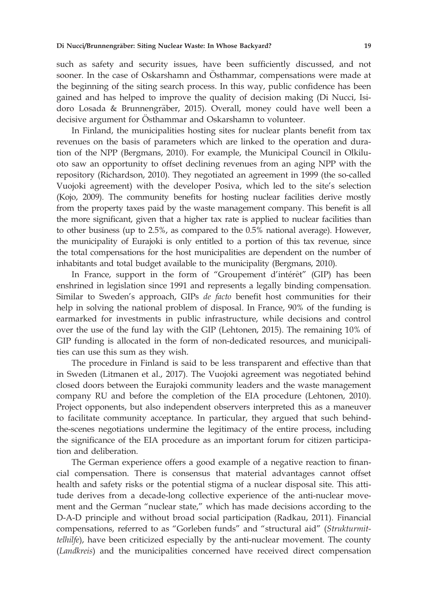such as safety and security issues, have been sufficiently discussed, and not sooner. In the case of Oskarshamn and Osthammar, compensations were made at the beginning of the siting search process. In this way, public confidence has been gained and has helped to improve the quality of decision making (Di Nucci, Isidoro Losada & Brunnengräber, 2015). Overall, money could have well been a decisive argument for Osthammar and Oskarshamn to volunteer.

In Finland, the municipalities hosting sites for nuclear plants benefit from tax revenues on the basis of parameters which are linked to the operation and duration of the NPP (Bergmans, 2010). For example, the Municipal Council in Olkiluoto saw an opportunity to offset declining revenues from an aging NPP with the repository (Richardson, 2010). They negotiated an agreement in 1999 (the so-called Vuojoki agreement) with the developer Posiva, which led to the site's selection (Kojo, 2009). The community benefits for hosting nuclear facilities derive mostly from the property taxes paid by the waste management company. This benefit is all the more significant, given that a higher tax rate is applied to nuclear facilities than to other business (up to 2.5%, as compared to the 0.5% national average). However, the municipality of Eurajoki is only entitled to a portion of this tax revenue, since the total compensations for the host municipalities are dependent on the number of inhabitants and total budget available to the municipality (Bergmans, 2010).

In France, support in the form of "Groupement d'intérêt" (GIP) has been enshrined in legislation since 1991 and represents a legally binding compensation. Similar to Sweden's approach, GIPs de facto benefit host communities for their help in solving the national problem of disposal. In France, 90% of the funding is earmarked for investments in public infrastructure, while decisions and control over the use of the fund lay with the GIP (Lehtonen, 2015). The remaining 10% of GIP funding is allocated in the form of non-dedicated resources, and municipalities can use this sum as they wish.

The procedure in Finland is said to be less transparent and effective than that in Sweden (Litmanen et al., 2017). The Vuojoki agreement was negotiated behind closed doors between the Eurajoki community leaders and the waste management company RU and before the completion of the EIA procedure (Lehtonen, 2010). Project opponents, but also independent observers interpreted this as a maneuver to facilitate community acceptance. In particular, they argued that such behindthe-scenes negotiations undermine the legitimacy of the entire process, including the significance of the EIA procedure as an important forum for citizen participation and deliberation.

The German experience offers a good example of a negative reaction to financial compensation. There is consensus that material advantages cannot offset health and safety risks or the potential stigma of a nuclear disposal site. This attitude derives from a decade-long collective experience of the anti-nuclear movement and the German "nuclear state," which has made decisions according to the D-A-D principle and without broad social participation (Radkau, 2011). Financial compensations, referred to as "Gorleben funds" and "structural aid" (Strukturmit $tellhilfe$ ), have been criticized especially by the anti-nuclear movement. The county (Landkreis) and the municipalities concerned have received direct compensation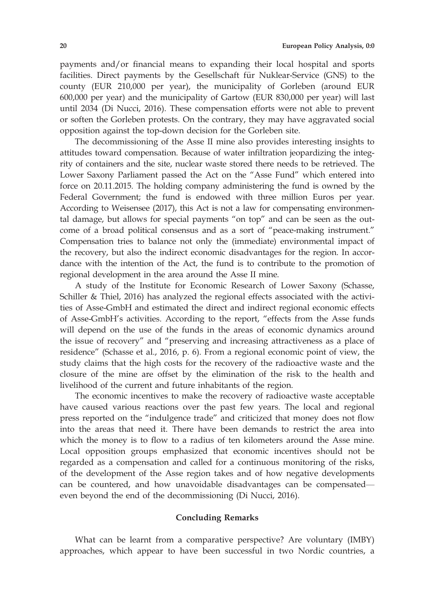payments and/or financial means to expanding their local hospital and sports facilities. Direct payments by the Gesellschaft für Nuklear-Service (GNS) to the county (EUR 210,000 per year), the municipality of Gorleben (around EUR 600,000 per year) and the municipality of Gartow (EUR 830,000 per year) will last until 2034 (Di Nucci, 2016). These compensation efforts were not able to prevent or soften the Gorleben protests. On the contrary, they may have aggravated social opposition against the top-down decision for the Gorleben site.

The decommissioning of the Asse II mine also provides interesting insights to attitudes toward compensation. Because of water infiltration jeopardizing the integrity of containers and the site, nuclear waste stored there needs to be retrieved. The Lower Saxony Parliament passed the Act on the "Asse Fund" which entered into force on 20.11.2015. The holding company administering the fund is owned by the Federal Government; the fund is endowed with three million Euros per year. According to Weisensee (2017), this Act is not a law for compensating environmental damage, but allows for special payments "on top" and can be seen as the outcome of a broad political consensus and as a sort of "peace-making instrument." Compensation tries to balance not only the (immediate) environmental impact of the recovery, but also the indirect economic disadvantages for the region. In accordance with the intention of the Act, the fund is to contribute to the promotion of regional development in the area around the Asse II mine.

A study of the Institute for Economic Research of Lower Saxony (Schasse, Schiller & Thiel, 2016) has analyzed the regional effects associated with the activities of Asse-GmbH and estimated the direct and indirect regional economic effects of Asse-GmbH's activities. According to the report, "effects from the Asse funds will depend on the use of the funds in the areas of economic dynamics around the issue of recovery" and "preserving and increasing attractiveness as a place of residence" (Schasse et al., 2016, p. 6). From a regional economic point of view, the study claims that the high costs for the recovery of the radioactive waste and the closure of the mine are offset by the elimination of the risk to the health and livelihood of the current and future inhabitants of the region.

The economic incentives to make the recovery of radioactive waste acceptable have caused various reactions over the past few years. The local and regional press reported on the "indulgence trade" and criticized that money does not flow into the areas that need it. There have been demands to restrict the area into which the money is to flow to a radius of ten kilometers around the Asse mine. Local opposition groups emphasized that economic incentives should not be regarded as a compensation and called for a continuous monitoring of the risks, of the development of the Asse region takes and of how negative developments can be countered, and how unavoidable disadvantages can be compensated even beyond the end of the decommissioning (Di Nucci, 2016).

#### Concluding Remarks

What can be learnt from a comparative perspective? Are voluntary (IMBY) approaches, which appear to have been successful in two Nordic countries, a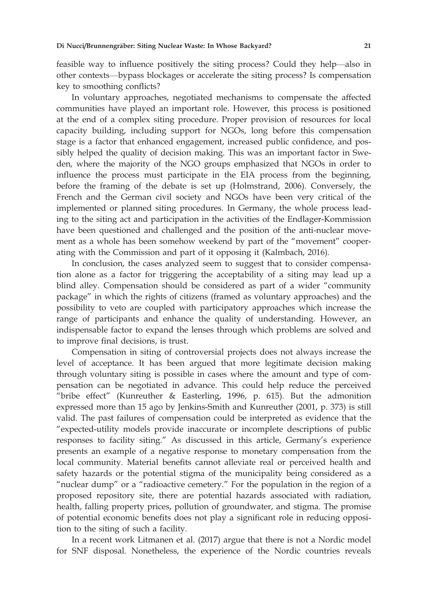feasible way to influence positively the siting process? Could they help—also in other contexts—bypass blockages or accelerate the siting process? Is compensation key to smoothing conflicts?

In voluntary approaches, negotiated mechanisms to compensate the affected communities have played an important role. However, this process is positioned at the end of a complex siting procedure. Proper provision of resources for local capacity building, including support for NGOs, long before this compensation stage is a factor that enhanced engagement, increased public confidence, and possibly helped the quality of decision making. This was an important factor in Sweden, where the majority of the NGO groups emphasized that NGOs in order to influence the process must participate in the EIA process from the beginning, before the framing of the debate is set up (Holmstrand, 2006). Conversely, the French and the German civil society and NGOs have been very critical of the implemented or planned siting procedures. In Germany, the whole process leading to the siting act and participation in the activities of the Endlager-Kommission have been questioned and challenged and the position of the anti-nuclear movement as a whole has been somehow weekend by part of the "movement" cooperating with the Commission and part of it opposing it (Kalmbach, 2016).

In conclusion, the cases analyzed seem to suggest that to consider compensation alone as a factor for triggering the acceptability of a siting may lead up a blind alley. Compensation should be considered as part of a wider "community package" in which the rights of citizens (framed as voluntary approaches) and the possibility to veto are coupled with participatory approaches which increase the range of participants and enhance the quality of understanding. However, an indispensable factor to expand the lenses through which problems are solved and to improve final decisions, is trust.

Compensation in siting of controversial projects does not always increase the level of acceptance. It has been argued that more legitimate decision making through voluntary siting is possible in cases where the amount and type of compensation can be negotiated in advance. This could help reduce the perceived "bribe effect" (Kunreuther & Easterling, 1996, p. 615). But the admonition expressed more than 15 ago by Jenkins-Smith and Kunreuther (2001, p. 373) is still valid. The past failures of compensation could be interpreted as evidence that the "expected-utility models provide inaccurate or incomplete descriptions of public responses to facility siting." As discussed in this article, Germany's experience presents an example of a negative response to monetary compensation from the local community. Material benefits cannot alleviate real or perceived health and safety hazards or the potential stigma of the municipality being considered as a "nuclear dump" or a "radioactive cemetery." For the population in the region of a proposed repository site, there are potential hazards associated with radiation, health, falling property prices, pollution of groundwater, and stigma. The promise of potential economic benefits does not play a significant role in reducing opposition to the siting of such a facility.

In a recent work Litmanen et al. (2017) argue that there is not a Nordic model for SNF disposal. Nonetheless, the experience of the Nordic countries reveals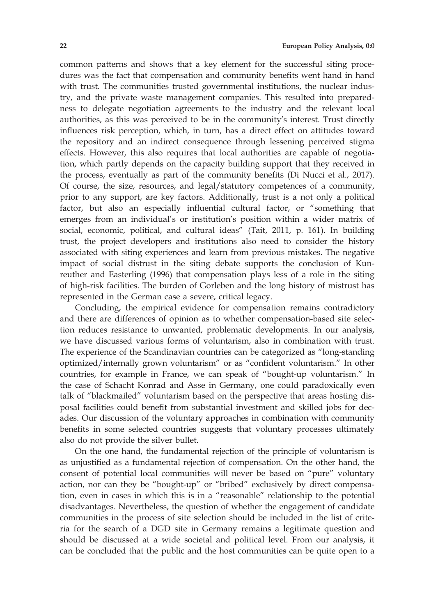common patterns and shows that a key element for the successful siting procedures was the fact that compensation and community benefits went hand in hand with trust. The communities trusted governmental institutions, the nuclear industry, and the private waste management companies. This resulted into preparedness to delegate negotiation agreements to the industry and the relevant local authorities, as this was perceived to be in the community's interest. Trust directly influences risk perception, which, in turn, has a direct effect on attitudes toward the repository and an indirect consequence through lessening perceived stigma effects. However, this also requires that local authorities are capable of negotiation, which partly depends on the capacity building support that they received in the process, eventually as part of the community benefits (Di Nucci et al., 2017). Of course, the size, resources, and legal/statutory competences of a community, prior to any support, are key factors. Additionally, trust is a not only a political factor, but also an especially influential cultural factor, or "something that emerges from an individual's or institution's position within a wider matrix of social, economic, political, and cultural ideas" (Tait, 2011, p. 161). In building trust, the project developers and institutions also need to consider the history associated with siting experiences and learn from previous mistakes. The negative impact of social distrust in the siting debate supports the conclusion of Kunreuther and Easterling (1996) that compensation plays less of a role in the siting of high-risk facilities. The burden of Gorleben and the long history of mistrust has represented in the German case a severe, critical legacy.

Concluding, the empirical evidence for compensation remains contradictory and there are differences of opinion as to whether compensation-based site selection reduces resistance to unwanted, problematic developments. In our analysis, we have discussed various forms of voluntarism, also in combination with trust. The experience of the Scandinavian countries can be categorized as "long-standing optimized/internally grown voluntarism" or as "confident voluntarism." In other countries, for example in France, we can speak of "bought-up voluntarism." In the case of Schacht Konrad and Asse in Germany, one could paradoxically even talk of "blackmailed" voluntarism based on the perspective that areas hosting disposal facilities could benefit from substantial investment and skilled jobs for decades. Our discussion of the voluntary approaches in combination with community benefits in some selected countries suggests that voluntary processes ultimately also do not provide the silver bullet.

On the one hand, the fundamental rejection of the principle of voluntarism is as unjustified as a fundamental rejection of compensation. On the other hand, the consent of potential local communities will never be based on "pure" voluntary action, nor can they be "bought-up" or "bribed" exclusively by direct compensation, even in cases in which this is in a "reasonable" relationship to the potential disadvantages. Nevertheless, the question of whether the engagement of candidate communities in the process of site selection should be included in the list of criteria for the search of a DGD site in Germany remains a legitimate question and should be discussed at a wide societal and political level. From our analysis, it can be concluded that the public and the host communities can be quite open to a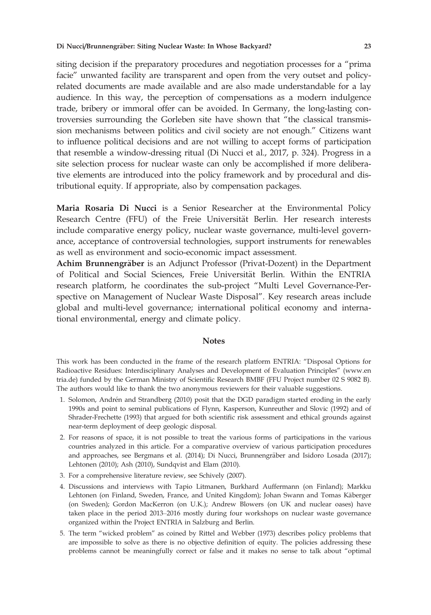siting decision if the preparatory procedures and negotiation processes for a "prima facie" unwanted facility are transparent and open from the very outset and policyrelated documents are made available and are also made understandable for a lay audience. In this way, the perception of compensations as a modern indulgence trade, bribery or immoral offer can be avoided. In Germany, the long-lasting controversies surrounding the Gorleben site have shown that "the classical transmission mechanisms between politics and civil society are not enough." Citizens want to influence political decisions and are not willing to accept forms of participation that resemble a window-dressing ritual (Di Nucci et al., 2017, p. 324). Progress in a site selection process for nuclear waste can only be accomplished if more deliberative elements are introduced into the policy framework and by procedural and distributional equity. If appropriate, also by compensation packages.

Maria Rosaria Di Nucci is a Senior Researcher at the Environmental Policy Research Centre (FFU) of the Freie Universität Berlin. Her research interests include comparative energy policy, nuclear waste governance, multi-level governance, acceptance of controversial technologies, support instruments for renewables as well as environment and socio-economic impact assessment.

Achim Brunnengräber is an Adjunct Professor (Privat-Dozent) in the Department of Political and Social Sciences, Freie Universität Berlin. Within the ENTRIA research platform, he coordinates the sub-project "Multi Level Governance-Perspective on Management of Nuclear Waste Disposal". Key research areas include global and multi-level governance; international political economy and international environmental, energy and climate policy.

## **Notes**

This work has been conducted in the frame of the research platform ENTRIA: "Disposal Options for Radioactive Residues: Interdisciplinary Analyses and Development of Evaluation Principles" ([www.en](http://www.entria.de) [tria.de](http://www.entria.de)) funded by the German Ministry of Scientific Research BMBF (FFU Project number 02 S 9082 B). The authors would like to thank the two anonymous reviewers for their valuable suggestions.

- 1. Solomon, Andrén and Strandberg (2010) posit that the DGD paradigm started eroding in the early 1990s and point to seminal publications of Flynn, Kasperson, Kunreuther and Slovic (1992) and of Shrader-Frechette (1993) that argued for both scientific risk assessment and ethical grounds against near-term deployment of deep geologic disposal.
- 2. For reasons of space, it is not possible to treat the various forms of participations in the various countries analyzed in this article. For a comparative overview of various participation procedures and approaches, see Bergmans et al. (2014); Di Nucci, Brunnengräber and Isidoro Losada (2017); Lehtonen (2010); Ash (2010), Sundqvist and Elam (2010).
- 3. For a comprehensive literature review, see Schively (2007).
- 4. Discussions and interviews with Tapio Litmanen, Burkhard Auffermann (on Finland); Markku Lehtonen (on Finland, Sweden, France, and United Kingdom); Johan Swann and Tomas Käberger (on Sweden); Gordon MacKerron (on U.K.); Andrew Blowers (on UK and nuclear oases) have taken place in the period 2013–2016 mostly during four workshops on nuclear waste governance organized within the Project ENTRIA in Salzburg and Berlin.
- 5. The term "wicked problem" as coined by Rittel and Webber (1973) describes policy problems that are impossible to solve as there is no objective definition of equity. The policies addressing these problems cannot be meaningfully correct or false and it makes no sense to talk about "optimal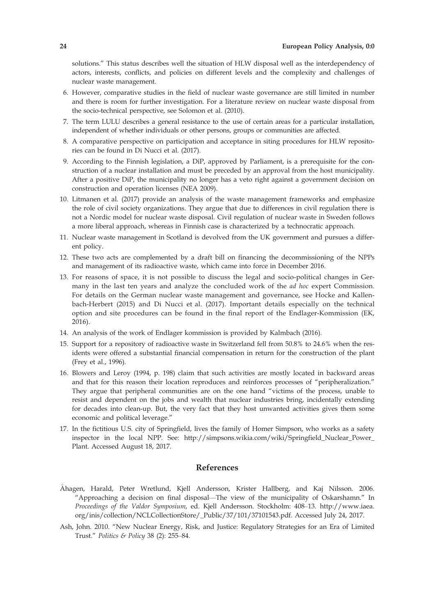solutions." This status describes well the situation of HLW disposal well as the interdependency of actors, interests, conflicts, and policies on different levels and the complexity and challenges of nuclear waste management.

- 6. However, comparative studies in the field of nuclear waste governance are still limited in number and there is room for further investigation. For a literature review on nuclear waste disposal from the socio-technical perspective, see Solomon et al. (2010).
- 7. The term LULU describes a general resistance to the use of certain areas for a particular installation, independent of whether individuals or other persons, groups or communities are affected.
- 8. A comparative perspective on participation and acceptance in siting procedures for HLW repositories can be found in Di Nucci et al. (2017).
- 9. According to the Finnish legislation, a DiP, approved by Parliament, is a prerequisite for the construction of a nuclear installation and must be preceded by an approval from the host municipality. After a positive DiP, the municipality no longer has a veto right against a government decision on construction and operation licenses (NEA 2009).
- 10. Litmanen et al. (2017) provide an analysis of the waste management frameworks and emphasize the role of civil society organizations. They argue that due to differences in civil regulation there is not a Nordic model for nuclear waste disposal. Civil regulation of nuclear waste in Sweden follows a more liberal approach, whereas in Finnish case is characterized by a technocratic approach.
- 11. Nuclear waste management in Scotland is devolved from the UK government and pursues a different policy.
- 12. These two acts are complemented by a draft bill on financing the decommissioning of the NPPs and management of its radioactive waste, which came into force in December 2016.
- 13. For reasons of space, it is not possible to discuss the legal and socio-political changes in Germany in the last ten years and analyze the concluded work of the *ad hoc* expert Commission. For details on the German nuclear waste management and governance, see Hocke and Kallenbach-Herbert (2015) and Di Nucci et al. (2017). Important details especially on the technical option and site procedures can be found in the final report of the Endlager-Kommission (EK, 2016).
- 14. An analysis of the work of Endlager kommission is provided by Kalmbach (2016).
- 15. Support for a repository of radioactive waste in Switzerland fell from 50.8% to 24.6% when the residents were offered a substantial financial compensation in return for the construction of the plant (Frey et al., 1996).
- 16. Blowers and Leroy (1994, p. 198) claim that such activities are mostly located in backward areas and that for this reason their location reproduces and reinforces processes of "peripheralization." They argue that peripheral communities are on the one hand "victims of the process, unable to resist and dependent on the jobs and wealth that nuclear industries bring, incidentally extending for decades into clean-up. But, the very fact that they host unwanted activities gives them some economic and political leverage."
- 17. In the fictitious U.S. city of Springfield, lives the family of Homer Simpson, who works as a safety inspector in the local NPP. See: [http://simpsons.wikia.com/wiki/Springfield\\_Nuclear\\_Power\\_](http://simpsons.wikia.com/wiki/Springfield_Nuclear_Power_Plant) [Plant](http://simpsons.wikia.com/wiki/Springfield_Nuclear_Power_Plant). Accessed August 18, 2017.

#### References

- Ahagen, Harald, Peter Wretlund, Kjell Andersson, Krister Hallberg, and Kaj Nilsson. 2006. "Approaching a decision on final disposal—The view of the municipality of Oskarshamn." In Proceedings of the Valdor Symposium, ed. Kjell Andersson. Stockholm: 408–13. [http://www.iaea.](http://www.iaea.org/inis/collection/NCLCollectionStore/_Public/37/101/37101543.pdf) [org/inis/collection/NCLCollectionStore/\\_Public/37/101/37101543.pdf](http://www.iaea.org/inis/collection/NCLCollectionStore/_Public/37/101/37101543.pdf). Accessed July 24, 2017.
- Ash, John. 2010. "New Nuclear Energy, Risk, and Justice: Regulatory Strategies for an Era of Limited Trust." Politics & Policy 38 (2): 255–84.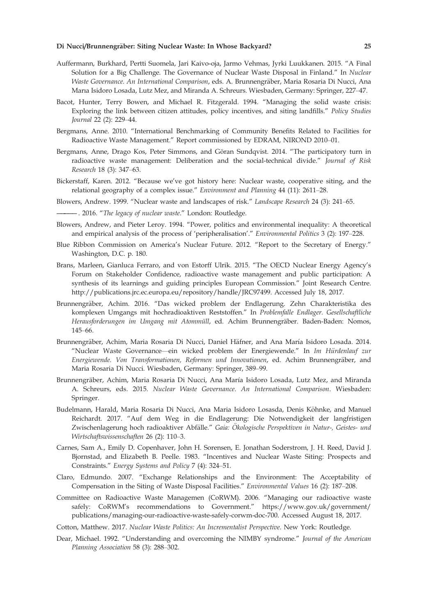#### Di Nucci/Brunnengrāber: Siting Nuclear Waste: In Whose Backyard? 25

- Auffermann, Burkhard, Pertti Suomela, Jari Kaivo-oja, Jarmo Vehmas, Jyrki Luukkanen. 2015. "A Final Solution for a Big Challenge. The Governance of Nuclear Waste Disposal in Finland." In Nuclear Waste Governance. An International Comparison, eds. A. Brunnengräber, Maria Rosaria Di Nucci, Ana Marıa Isidoro Losada, Lutz Mez, and Miranda A. Schreurs. Wiesbaden, Germany: Springer, 227–47.
- Bacot, Hunter, Terry Bowen, and Michael R. Fitzgerald. 1994. "Managing the solid waste crisis: Exploring the link between citizen attitudes, policy incentives, and siting landfills." Policy Studies Journal 22 (2): 229–44.
- Bergmans, Anne. 2010. "International Benchmarking of Community Benefits Related to Facilities for Radioactive Waste Management." Report commissioned by EDRAM, NIROND 2010–01.
- Bergmans, Anne, Drago Kos, Peter Simmons, and Göran Sundqvist. 2014. "The participatory turn in radioactive waste management: Deliberation and the social-technical divide." Journal of Risk Research 18 (3): 347–63.
- Bickerstaff, Karen. 2012. "Because we've got history here: Nuclear waste, cooperative siting, and the relational geography of a complex issue." Environment and Planning 44 (11): 2611–28.
- Blowers, Andrew. 1999. "Nuclear waste and landscapes of risk." Landscape Research 24 (3): 241–65.
- 2016. "The legacy of nuclear waste." London: Routledge.
- Blowers, Andrew, and Pieter Leroy. 1994. "Power, politics and environmental inequality: A theoretical and empirical analysis of the process of 'peripheralisation'." Environmental Politics 3 (2): 197–228.
- Blue Ribbon Commission on America's Nuclear Future. 2012. "Report to the Secretary of Energy." Washington, D.C. p. 180.
- Brans, Marleen, Gianluca Ferraro, and von Estorff Ulrik. 2015. "The OECD Nuclear Energy Agency's Forum on Stakeholder Confidence, radioactive waste management and public participation: A synthesis of its learnings and guiding principles European Commission." Joint Research Centre. <http://publications.jrc.ec.europa.eu/repository/handle/JRC97499>. Accessed July 18, 2017.
- Brunnengräber, Achim. 2016. "Das wicked problem der Endlagerung. Zehn Charakteristika des komplexen Umgangs mit hochradioaktiven Reststoffen." In Problemfalle Endlager. Gesellschaftliche Herausforderungen im Umgang mit Atommüll, ed. Achim Brunnengräber. Baden-Baden: Nomos, 145–66.
- Brunnengräber, Achim, Maria Rosaria Di Nucci, Daniel Häfner, and Ana María Isidoro Losada. 2014. "Nuclear Waste Governance—ein wicked problem der Energiewende." In Im Hurdenlauf zur € Energiewende. Von Transformationen, Reformen und Innovationen, ed. Achim Brunnengräber, and Maria Rosaria Di Nucci. Wiesbaden, Germany: Springer, 389–99.
- Brunnengräber, Achim, Maria Rosaria Di Nucci, Ana María Isidoro Losada, Lutz Mez, and Miranda A. Schreurs, eds. 2015. Nuclear Waste Governance. An International Comparison. Wiesbaden: Springer.
- Budelmann, Harald, Maria Rosaria Di Nucci, Ana Maria Isidoro Losasda, Denis Köhnke, and Manuel Reichardt. 2017. "Auf dem Weg in die Endlagerung: Die Notwendigkeit der langfristigen Zwischenlagerung hoch radioaktiver Abfälle." Gaia: Okologische Perspektiven in Natur-, Geistes- und Wirtschaftswissenschaften 26 (2): 110–3.
- Carnes, Sam A., Emily D. Copenhaver, John H. Sorensen, E. Jonathan Soderstrom, J. H. Reed, David J. Bjornstad, and Elizabeth B. Peelle. 1983. "Incentives and Nuclear Waste Siting: Prospects and Constraints." Energy Systems and Policy 7 (4): 324–51.
- Claro, Edmundo. 2007. "Exchange Relationships and the Environment: The Acceptability of Compensation in the Siting of Waste Disposal Facilities." Environmental Values 16 (2): 187–208.
- Committee on Radioactive Waste Managemen (CoRWM). 2006. "Managing our radioactive waste safely: CoRWM's recommendations to Government." [https://www.gov.uk/government/](https://www.gov.uk/government/publications/managing-our-radioactive-waste-safely-corwm-doc-700) [publications/managing-our-radioactive-waste-safely-corwm-doc-700.](https://www.gov.uk/government/publications/managing-our-radioactive-waste-safely-corwm-doc-700) Accessed August 18, 2017.
- Cotton, Matthew. 2017. Nuclear Waste Politics: An Incrementalist Perspective. New York: Routledge.
- Dear, Michael. 1992. "Understanding and overcoming the NIMBY syndrome." Journal of the American Planning Association 58 (3): 288–302.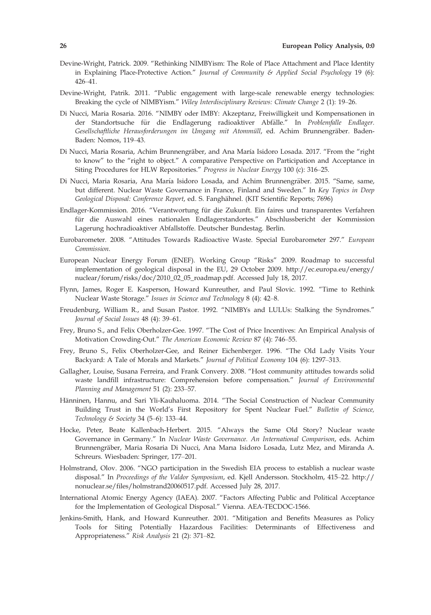- Devine-Wright, Patrick. 2009. "Rethinking NIMBYism: The Role of Place Attachment and Place Identity in Explaining Place-Protective Action." Journal of Community & Applied Social Psychology 19 (6): 426–41.
- Devine-Wright, Patrik. 2011. "Public engagement with large-scale renewable energy technologies: Breaking the cycle of NIMBYism." Wiley Interdisciplinary Reviews: Climate Change 2 (1): 19-26.
- Di Nucci, Maria Rosaria. 2016. "NIMBY oder IMBY: Akzeptanz, Freiwilligkeit und Kompensationen in der Standortsuche für die Endlagerung radioaktiver Abfälle." In Problemfalle Endlager. Gesellschaftliche Herausforderungen im Umgang mit Atommüll, ed. Achim Brunnengräber. Baden-Baden: Nomos, 119–43.
- Di Nucci, Maria Rosaria, Achim Brunnengräber, and Ana María Isidoro Losada. 2017. "From the "right to know" to the "right to object." A comparative Perspective on Participation and Acceptance in Siting Procedures for HLW Repositories." Progress in Nuclear Energy 100 (c): 316–25.
- Di Nucci, Maria Rosaria, Ana María Isidoro Losada, and Achim Brunnengräber. 2015. "Same, same, but different. Nuclear Waste Governance in France, Finland and Sweden." In Key Topics in Deep Geological Disposal: Conference Report, ed. S. Fanghähnel. (KIT Scientific Reports; 7696)
- Endlager-Kommission. 2016. "Verantwortung für die Zukunft. Ein faires und transparentes Verfahren für die Auswahl eines nationalen Endlagerstandortes." Abschlussbericht der Kommission Lagerung hochradioaktiver Abfallstoffe. Deutscher Bundestag. Berlin.
- Eurobarometer. 2008. "Attitudes Towards Radioactive Waste. Special Eurobarometer 297." European Commission.
- European Nuclear Energy Forum (ENEF). Working Group "Risks" 2009. Roadmap to successful implementation of geological disposal in the EU, 29 October 2009. [http://ec.europa.eu/energy/](http://ec.europa.eu/energy/nuclear/forum/risks/doc/2010_02_05_roadmap.pdf) [nuclear/forum/risks/doc/2010\\_02\\_05\\_roadmap.pdf.](http://ec.europa.eu/energy/nuclear/forum/risks/doc/2010_02_05_roadmap.pdf) Accessed July 18, 2017.
- Flynn, James, Roger E. Kasperson, Howard Kunreuther, and Paul Slovic. 1992. "Time to Rethink Nuclear Waste Storage." Issues in Science and Technology 8 (4): 42–8.
- Freudenburg, William R., and Susan Pastor. 1992. "NIMBYs and LULUs: Stalking the Syndromes." Journal of Social Issues 48 (4): 39–61.
- Frey, Bruno S., and Felix Oberholzer-Gee. 1997. "The Cost of Price Incentives: An Empirical Analysis of Motivation Crowding-Out." The American Economic Review 87 (4): 746–55.
- Frey, Bruno S., Felix Oberholzer-Gee, and Reiner Eichenberger. 1996. "The Old Lady Visits Your Backyard: A Tale of Morals and Markets." Journal of Political Economy 104 (6): 1297–313.
- Gallagher, Louise, Susana Ferreira, and Frank Convery. 2008. "Host community attitudes towards solid waste landfill infrastructure: Comprehension before compensation." Journal of Environmental Planning and Management 51 (2): 233–57.
- Hänninen, Hannu, and Sari Yli-Kauhaluoma. 2014. "The Social Construction of Nuclear Community Building Trust in the World's First Repository for Spent Nuclear Fuel." Bulletin of Science, Technology & Society 34 (5–6): 133–44.
- Hocke, Peter, Beate Kallenbach-Herbert. 2015. "Always the Same Old Story? Nuclear waste Governance in Germany." In Nuclear Waste Governance. An International Comparison, eds. Achim Brunnengräber, Maria Rosaria Di Nucci, Ana Marıa Isidoro Losada, Lutz Mez, and Miranda A. Schreurs. Wiesbaden: Springer, 177–201.
- Holmstrand, Olov. 2006. "NGO participation in the Swedish EIA process to establish a nuclear waste disposal." In Proceedings of the Valdor Symposium, ed. Kjell Andersson. Stockholm, 415–22. [http://](http://nonuclear.se/files/holmstrand20060517.pdf) [nonuclear.se/files/holmstrand20060517.pdf](http://nonuclear.se/files/holmstrand20060517.pdf). Accessed July 28, 2017.
- International Atomic Energy Agency (IAEA). 2007. "Factors Affecting Public and Political Acceptance for the Implementation of Geological Disposal." Vienna. AEA-TECDOC-1566.
- Jenkins-Smith, Hank, and Howard Kunreuther. 2001. "Mitigation and Benefits Measures as Policy Tools for Siting Potentially Hazardous Facilities: Determinants of Effectiveness and Appropriateness." Risk Analysis 21 (2): 371–82.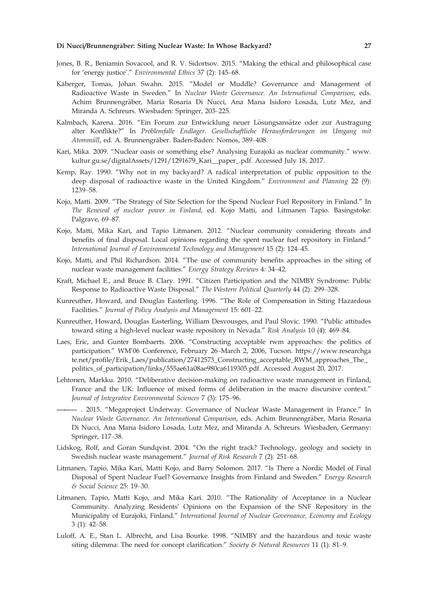#### Di Nucci/Brunnengrāber: Siting Nuclear Waste: In Whose Backyard? 27

- Jones, B. R., Beniamin Sovacool, and R. V. Sidortsov. 2015. "Making the ethical and philosophical case for 'energy justice'." Environmental Ethics 37 (2): 145–68.
- Kaberger, Tomas, Johan Swahn. 2015. "Model or Muddle? Governance and Management of Radioactive Waste in Sweden." In Nuclear Waste Governance. An International Comparison, eds. Achim Brunnengräber, Maria Rosaria Di Nucci, Ana Marıa Isidoro Losada, Lutz Mez, and Miranda A. Schreurs. Wiesbaden: Springer, 203–225.
- Kalmbach, Karena. 2016. "Ein Forum zur Entwicklung neuer Lösungsansätze oder zur Austragung alter Konflikte?" In Problemfalle Endlager. Gesellschaftliche Herausforderungen im Umgang mit Atommüll, ed. A. Brunnengräber. Baden-Baden: Nomos, 389-408.
- Kari, Mika. 2009. "Nuclear oasis or something else? Analysing Eurajoki as nuclear community." [www.](http://www.kultur.gu.se/digitalAssets/1291/1291679_Kari__paper_.pdf) [kultur.gu.se/digitalAssets/1291/1291679\\_Kari\\_\\_paper\\_.pdf.](http://www.kultur.gu.se/digitalAssets/1291/1291679_Kari__paper_.pdf) Accessed July 18, 2017.
- Kemp, Ray. 1990. "Why not in my backyard? A radical interpretation of public opposition to the deep disposal of radioactive waste in the United Kingdom." Environment and Planning 22 (9): 1239–58.
- Kojo, Matti. 2009. "The Strategy of Site Selection for the Spend Nuclear Fuel Repository in Finland." In The Renewal of nuclear power in Finland, ed. Kojo Matti, and Litmanen Tapio. Basingstoke: Palgrave, 69–87.
- Kojo, Matti, Mika Kari, and Tapio Litmanen. 2012. "Nuclear community considering threats and benefits of final disposal. Local opinions regarding the spent nuclear fuel repository in Finland." International Journal of Environmental Technology and Management 15 (2): 124–45.
- Kojo, Matti, and Phil Richardson. 2014. "The use of community benefits approaches in the siting of nuclear waste management facilities." Energy Strategy Reviews 4: 34–42.
- Kraft, Michael E., and Bruce B. Clary. 1991. "Citizen Participation and the NIMBY Syndrome: Public Response to Radioactive Waste Disposal." The Western Political Quarterly 44 (2): 299–328.
- Kunreuther, Howard, and Douglas Easterling. 1996. "The Role of Compensation in Siting Hazardous Facilities." Journal of Policy Analysis and Management 15: 601–22.
- Kunreuther, Howard, Douglas Easterling, William Desvousges, and Paul Slovic. 1990. "Public attitudes toward siting a high-level nuclear waste repository in Nevada." Risk Analysis 10 (4): 469–84.
- Laes, Eric, and Gunter Bombaerts. 2006. "Constructing acceptable rwm approaches: the politics of participation." WM'06 Conference, February 26–March 2, 2006, Tucson. [https://www.researchga](https://www.researchgate.net/profile/Erik_Laes/publication/27412573_Constructing_acceptable_RWM_approaches_The_politics_of_participation/links/555ae61a08ae980ca6119305.pdf) [te.net/profile/Erik\\_Laes/publication/27412573\\_Constructing\\_acceptable\\_RWM\\_approaches\\_The\\_](https://www.researchgate.net/profile/Erik_Laes/publication/27412573_Constructing_acceptable_RWM_approaches_The_politics_of_participation/links/555ae61a08ae980ca6119305.pdf) [politics\\_of\\_participation/links/555ae61a08ae980ca6119305.pdf](https://www.researchgate.net/profile/Erik_Laes/publication/27412573_Constructing_acceptable_RWM_approaches_The_politics_of_participation/links/555ae61a08ae980ca6119305.pdf). Accessed August 20, 2017.
- Lehtonen, Markku. 2010. "Deliberative decision-making on radioactive waste management in Finland, France and the UK: Influence of mixed forms of deliberation in the macro discursive context." Journal of Integrative Environmental Sciences 7 (3): 175–96.
- ————— . 2015. "Megaproject Underway. Governance of Nuclear Waste Management in France." In Nuclear Waste Governance. An International Comparison, eds. Achim Brunnengräber, Maria Rosaria Di Nucci, Ana Marıa Isidoro Losada, Lutz Mez, and Miranda A. Schreurs. Wiesbaden, Germany: Springer, 117–38.
- Lidskog, Rolf, and Goran Sundqvist. 2004. "On the right track? Technology, geology and society in Swedish nuclear waste management." Journal of Risk Research 7 (2): 251–68.
- Litmanen, Tapio, Mika Kari, Matti Kojo, and Barry Solomon. 2017. "Is There a Nordic Model of Final Disposal of Spent Nuclear Fuel? Governance Insights from Finland and Sweden." Energy Research & Social Science 25: 19–30.
- Litmanen, Tapio, Matti Kojo, and Mika Kari. 2010. "The Rationality of Acceptance in a Nuclear Community. Analyzing Residents' Opinions on the Expansion of the SNF Repository in the Municipality of Eurajoki, Finland." International Journal of Nuclear Governance, Economy and Ecology 3 (1): 42–58.
- Luloff, A. E., Stan L. Albrecht, and Lisa Bourke. 1998. "NIMBY and the hazardous and toxic waste siting dilemma: The need for concept clarification." Society & Natural Resources 11 (1): 81-9.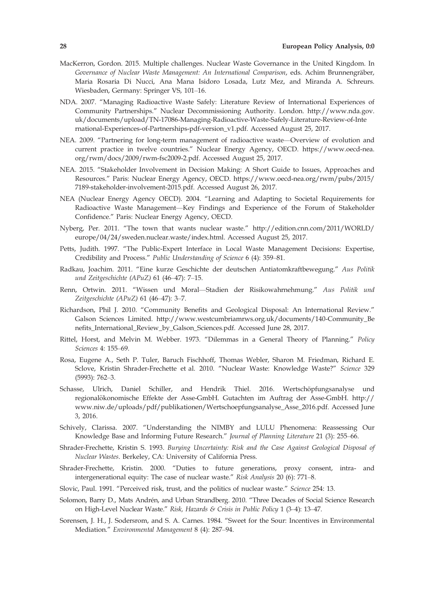- MacKerron, Gordon. 2015. Multiple challenges. Nuclear Waste Governance in the United Kingdom. In Governance of Nuclear Waste Management: An International Comparison, eds. Achim Brunnengräber, Maria Rosaria Di Nucci, Ana Marıa Isidoro Losada, Lutz Mez, and Miranda A. Schreurs. Wiesbaden, Germany: Springer VS, 101–16.
- NDA. 2007. "Managing Radioactive Waste Safely: Literature Review of International Experiences of Community Partnerships." Nuclear Decommissioning Authority. London. [http://www.nda.gov.](http://www.nda.gov.uk/documents/upload/TN-17086-Managing-Radioactive-Waste-Safely-Literature-Review-of-International-Experiences-of-Partnerships-pdf-version_v1.pdf) [uk/documents/upload/TN-17086-Managing-Radioactive-Waste-Safely-Literature-Review-of-Inte](http://www.nda.gov.uk/documents/upload/TN-17086-Managing-Radioactive-Waste-Safely-Literature-Review-of-International-Experiences-of-Partnerships-pdf-version_v1.pdf) [rnational-Experiences-of-Partnerships-pdf-version\\_v1.pdf](http://www.nda.gov.uk/documents/upload/TN-17086-Managing-Radioactive-Waste-Safely-Literature-Review-of-International-Experiences-of-Partnerships-pdf-version_v1.pdf). Accessed August 25, 2017.
- NEA. 2009. "Partnering for long-term management of radioactive waste—Overview of evolution and current practice in twelve countries." Nuclear Energy Agency, OECD. [https://www.oecd-nea.](https://www.oecd-nea.org/rwm/docs/2009/rwm-fsc2009-2.pdf) [org/rwm/docs/2009/rwm-fsc2009-2.pdf](https://www.oecd-nea.org/rwm/docs/2009/rwm-fsc2009-2.pdf). Accessed August 25, 2017.
- NEA. 2015. "Stakeholder Involvement in Decision Making: A Short Guide to Issues, Approaches and Resources." Paris: Nuclear Energy Agency, OECD. [https://www.oecd-nea.org/rwm/pubs/2015/](https://www.oecd-nea.org/rwm/pubs/2015/7189-stakeholder-involvement-2015.pdf) [7189-stakeholder-involvement-2015.pdf.](https://www.oecd-nea.org/rwm/pubs/2015/7189-stakeholder-involvement-2015.pdf) Accessed August 26, 2017.
- NEA (Nuclear Energy Agency OECD). 2004. "Learning and Adapting to Societal Requirements for Radioactive Waste Management—Key Findings and Experience of the Forum of Stakeholder Confidence." Paris: Nuclear Energy Agency, OECD.
- Nyberg, Per. 2011. "The town that wants nuclear waste." [http://edition.cnn.com/2011/WORLD/](http://edition.cnn.com/2011/WORLD/europe/04/24/sweden.nuclear.waste/index.html) [europe/04/24/sweden.nuclear.waste/index.html](http://edition.cnn.com/2011/WORLD/europe/04/24/sweden.nuclear.waste/index.html). Accessed August 25, 2017.
- Petts, Judith. 1997. "The Public-Expert Interface in Local Waste Management Decisions: Expertise, Credibility and Process." Public Understanding of Science 6 (4): 359–81.
- Radkau, Joachim. 2011. "Eine kurze Geschichte der deutschen Antiatomkraftbewegung." Aus Politik und Zeitgeschichte (APuZ) 61 (46–47): 7–15.
- Renn, Ortwin. 2011. "Wissen und Moral—Stadien der Risikowahrnehmung." Aus Politik und Zeitgeschichte (APuZ) 61 (46–47): 3–7.
- Richardson, Phil J. 2010. "Community Benefits and Geological Disposal: An International Review." Galson Sciences Limited. [http://www.westcumbriamrws.org.uk/documents/140-Community\\_Be](http://www.westcumbriamrws.org.uk/documents/140-Community_Benefits_International_Review_by_Galson_Sciences.pdf) [nefits\\_International\\_Review\\_by\\_Galson\\_Sciences.pdf.](http://www.westcumbriamrws.org.uk/documents/140-Community_Benefits_International_Review_by_Galson_Sciences.pdf) Accessed June 28, 2017.
- Rittel, Horst, and Melvin M. Webber. 1973. "Dilemmas in a General Theory of Planning." Policy Sciences 4: 155–69.
- Rosa, Eugene A., Seth P. Tuler, Baruch Fischhoff, Thomas Webler, Sharon M. Friedman, Richard E. Sclove, Kristin Shrader-Frechette et al. 2010. "Nuclear Waste: Knowledge Waste?" Science 329 (5993): 762–3.
- Schasse, Ulrich, Daniel Schiller, and Hendrik Thiel. 2016. Wertschöpfungsanalyse und regionalökonomische Effekte der Asse-GmbH. Gutachten im Auftrag der Asse-GmbH. [http://](http://www.niw.de/uploads/pdf/publikationen/Wertschoepfungsanalyse_Asse_2016.pdf) [www.niw.de/uploads/pdf/publikationen/Wertschoepfungsanalyse\\_Asse\\_2016.pdf.](http://www.niw.de/uploads/pdf/publikationen/Wertschoepfungsanalyse_Asse_2016.pdf) Accessed June 3, 2016.
- Schively, Clarissa. 2007. "Understanding the NIMBY and LULU Phenomena: Reassessing Our Knowledge Base and Informing Future Research." Journal of Planning Literature 21 (3): 255–66.
- Shrader-Frechette, Kristin S. 1993. Burying Uncertainty: Risk and the Case Against Geological Disposal of Nuclear Wastes. Berkeley, CA: University of California Press.
- Shrader-Frechette, Kristin. 2000. "Duties to future generations, proxy consent, intra- and intergenerational equity: The case of nuclear waste." Risk Analysis 20 (6): 771–8.
- Slovic, Paul. 1991. "Perceived risk, trust, and the politics of nuclear waste." Science 254: 13.
- Solomon, Barry D., Mats Andrén, and Urban Strandberg. 2010. "Three Decades of Social Science Research on High-Level Nuclear Waste." Risk, Hazards & Crisis in Public Policy 1 (3–4): 13–47.
- Sorensen, J. H., J. Sodersrom, and S. A. Carnes. 1984. "Sweet for the Sour: Incentives in Environmental Mediation." Environmental Management 8 (4): 287–94.